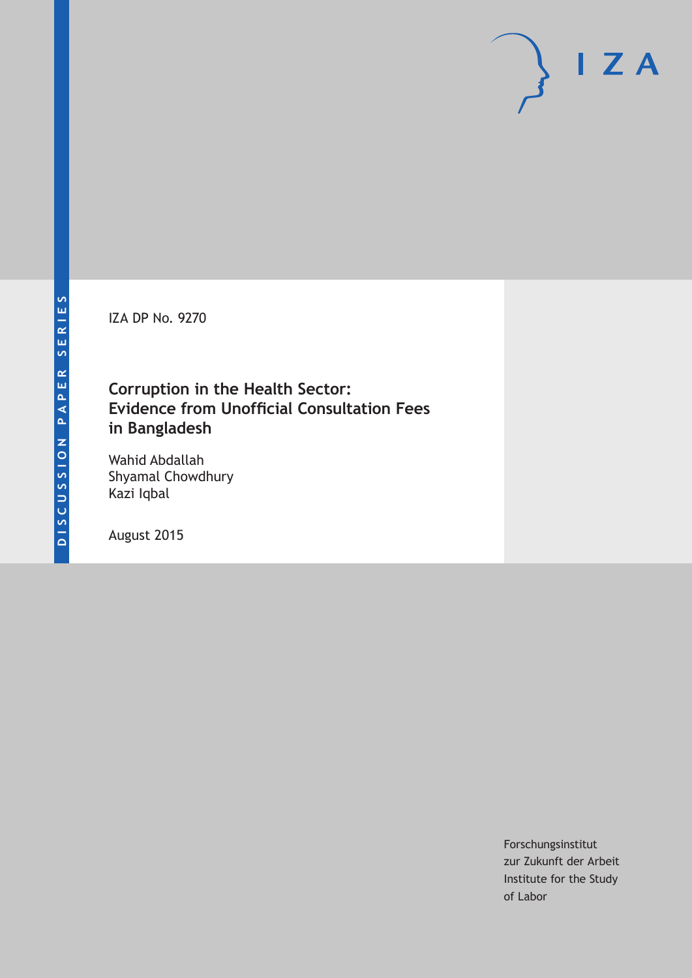IZA DP No. 9270

# **Corruption in the Health Sector: Evidence from Unofficial Consultation Fees in Bangladesh**

Wahid Abdallah Shyamal Chowdhury Kazi Iqbal

August 2015

Forschungsinstitut zur Zukunft der Arbeit Institute for the Study of Labor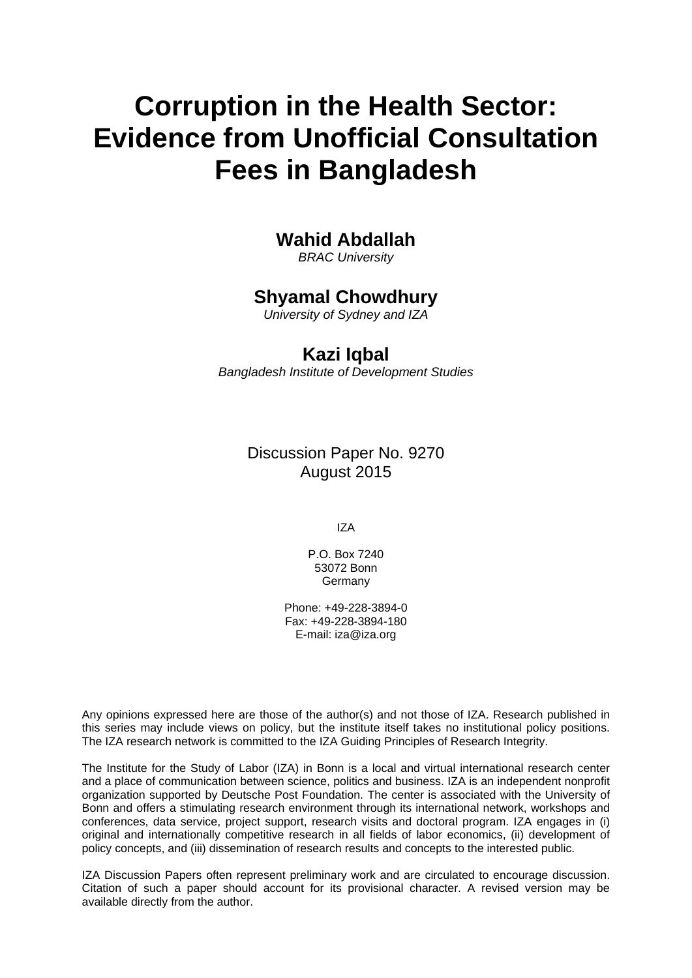# **Corruption in the Health Sector: Evidence from Unofficial Consultation Fees in Bangladesh**

# **Wahid Abdallah**

*BRAC University* 

# **Shyamal Chowdhury**

*University of Sydney and IZA* 

# **Kazi Iqbal**

*Bangladesh Institute of Development Studies*

Discussion Paper No. 9270 August 2015

IZA

P.O. Box 7240 53072 Bonn Germany

Phone: +49-228-3894-0 Fax: +49-228-3894-180 E-mail: iza@iza.org

Any opinions expressed here are those of the author(s) and not those of IZA. Research published in this series may include views on policy, but the institute itself takes no institutional policy positions. The IZA research network is committed to the IZA Guiding Principles of Research Integrity.

The Institute for the Study of Labor (IZA) in Bonn is a local and virtual international research center and a place of communication between science, politics and business. IZA is an independent nonprofit organization supported by Deutsche Post Foundation. The center is associated with the University of Bonn and offers a stimulating research environment through its international network, workshops and conferences, data service, project support, research visits and doctoral program. IZA engages in (i) original and internationally competitive research in all fields of labor economics, (ii) development of policy concepts, and (iii) dissemination of research results and concepts to the interested public.

IZA Discussion Papers often represent preliminary work and are circulated to encourage discussion. Citation of such a paper should account for its provisional character. A revised version may be available directly from the author.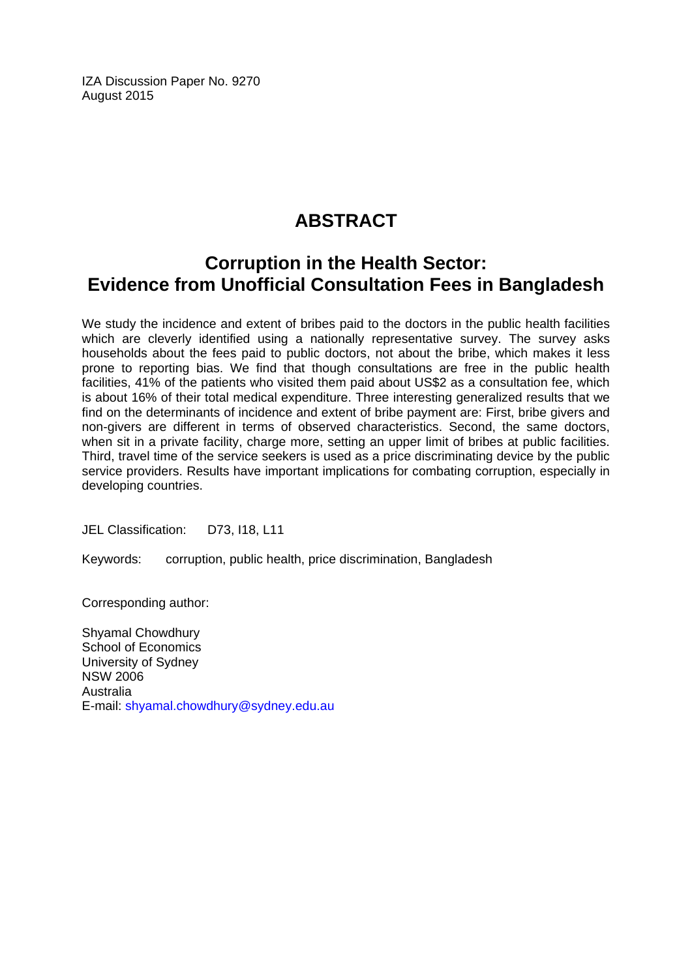IZA Discussion Paper No. 9270 August 2015

# **ABSTRACT**

# **Corruption in the Health Sector: Evidence from Unofficial Consultation Fees in Bangladesh**

We study the incidence and extent of bribes paid to the doctors in the public health facilities which are cleverly identified using a nationally representative survey. The survey asks households about the fees paid to public doctors, not about the bribe, which makes it less prone to reporting bias. We find that though consultations are free in the public health facilities, 41% of the patients who visited them paid about US\$2 as a consultation fee, which is about 16% of their total medical expenditure. Three interesting generalized results that we find on the determinants of incidence and extent of bribe payment are: First, bribe givers and non-givers are different in terms of observed characteristics. Second, the same doctors, when sit in a private facility, charge more, setting an upper limit of bribes at public facilities. Third, travel time of the service seekers is used as a price discriminating device by the public service providers. Results have important implications for combating corruption, especially in developing countries.

JEL Classification: D73, I18, L11

Keywords: corruption, public health, price discrimination, Bangladesh

Corresponding author:

Shyamal Chowdhury School of Economics University of Sydney NSW 2006 Australia E-mail: shyamal.chowdhury@sydney.edu.au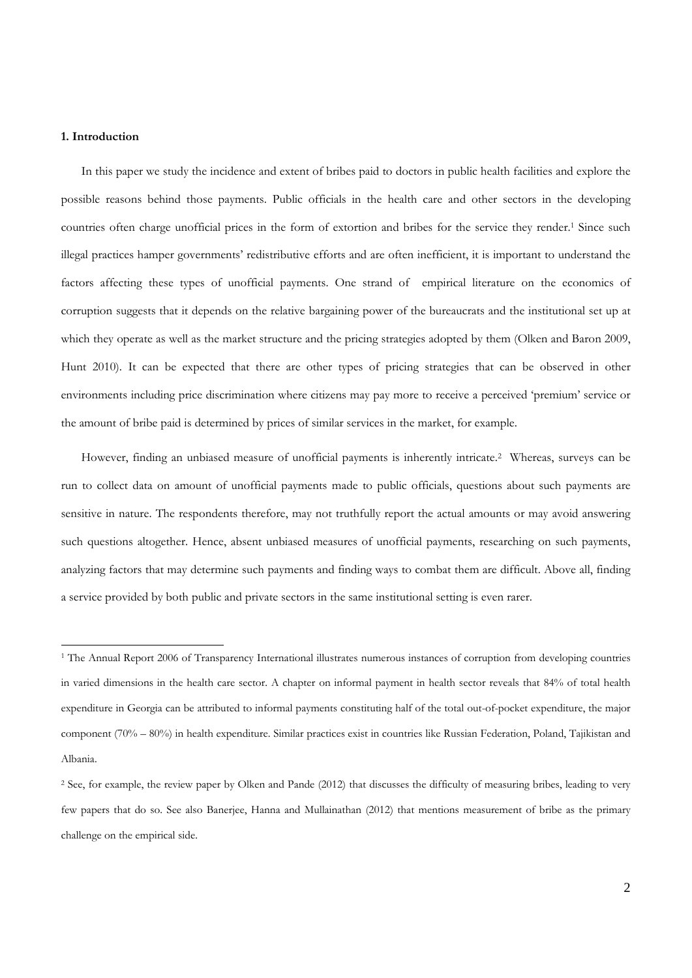# **1. Introduction**

 $\overline{a}$ 

In this paper we study the incidence and extent of bribes paid to doctors in public health facilities and explore the possible reasons behind those payments. Public officials in the health care and other sectors in the developing countries often charge unofficial prices in the form of extortion and bribes for the service they render.1 Since such illegal practices hamper governments' redistributive efforts and are often inefficient, it is important to understand the factors affecting these types of unofficial payments. One strand of empirical literature on the economics of corruption suggests that it depends on the relative bargaining power of the bureaucrats and the institutional set up at which they operate as well as the market structure and the pricing strategies adopted by them (Olken and Baron 2009, Hunt 2010). It can be expected that there are other types of pricing strategies that can be observed in other environments including price discrimination where citizens may pay more to receive a perceived 'premium' service or the amount of bribe paid is determined by prices of similar services in the market, for example.

However, finding an unbiased measure of unofficial payments is inherently intricate.2 Whereas, surveys can be run to collect data on amount of unofficial payments made to public officials, questions about such payments are sensitive in nature. The respondents therefore, may not truthfully report the actual amounts or may avoid answering such questions altogether. Hence, absent unbiased measures of unofficial payments, researching on such payments, analyzing factors that may determine such payments and finding ways to combat them are difficult. Above all, finding a service provided by both public and private sectors in the same institutional setting is even rarer.

<sup>&</sup>lt;sup>1</sup> The Annual Report 2006 of Transparency International illustrates numerous instances of corruption from developing countries in varied dimensions in the health care sector. A chapter on informal payment in health sector reveals that 84% of total health expenditure in Georgia can be attributed to informal payments constituting half of the total out-of-pocket expenditure, the major component (70% – 80%) in health expenditure. Similar practices exist in countries like Russian Federation, Poland, Tajikistan and Albania.

<sup>&</sup>lt;sup>2</sup> See, for example, the review paper by Olken and Pande (2012) that discusses the difficulty of measuring bribes, leading to very few papers that do so. See also Banerjee, Hanna and Mullainathan (2012) that mentions measurement of bribe as the primary challenge on the empirical side.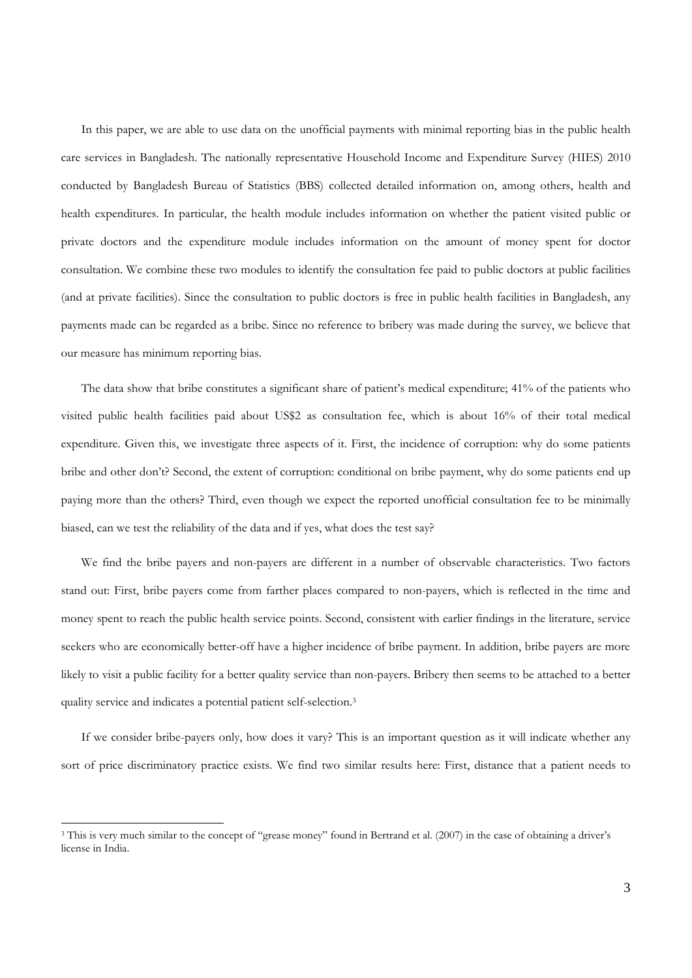In this paper, we are able to use data on the unofficial payments with minimal reporting bias in the public health care services in Bangladesh. The nationally representative Household Income and Expenditure Survey (HIES) 2010 conducted by Bangladesh Bureau of Statistics (BBS) collected detailed information on, among others, health and health expenditures. In particular, the health module includes information on whether the patient visited public or private doctors and the expenditure module includes information on the amount of money spent for doctor consultation. We combine these two modules to identify the consultation fee paid to public doctors at public facilities (and at private facilities). Since the consultation to public doctors is free in public health facilities in Bangladesh, any payments made can be regarded as a bribe. Since no reference to bribery was made during the survey, we believe that our measure has minimum reporting bias.

The data show that bribe constitutes a significant share of patient's medical expenditure; 41% of the patients who visited public health facilities paid about US\$2 as consultation fee, which is about 16% of their total medical expenditure. Given this, we investigate three aspects of it. First, the incidence of corruption: why do some patients bribe and other don't? Second, the extent of corruption: conditional on bribe payment, why do some patients end up paying more than the others? Third, even though we expect the reported unofficial consultation fee to be minimally biased, can we test the reliability of the data and if yes, what does the test say?

We find the bribe payers and non-payers are different in a number of observable characteristics. Two factors stand out: First, bribe payers come from farther places compared to non-payers, which is reflected in the time and money spent to reach the public health service points. Second, consistent with earlier findings in the literature, service seekers who are economically better-off have a higher incidence of bribe payment. In addition, bribe payers are more likely to visit a public facility for a better quality service than non-payers. Bribery then seems to be attached to a better quality service and indicates a potential patient self-selection.3

If we consider bribe-payers only, how does it vary? This is an important question as it will indicate whether any sort of price discriminatory practice exists. We find two similar results here: First, distance that a patient needs to

<sup>&</sup>lt;sup>3</sup> This is very much similar to the concept of "grease money" found in Bertrand et al. (2007) in the case of obtaining a driver's license in India.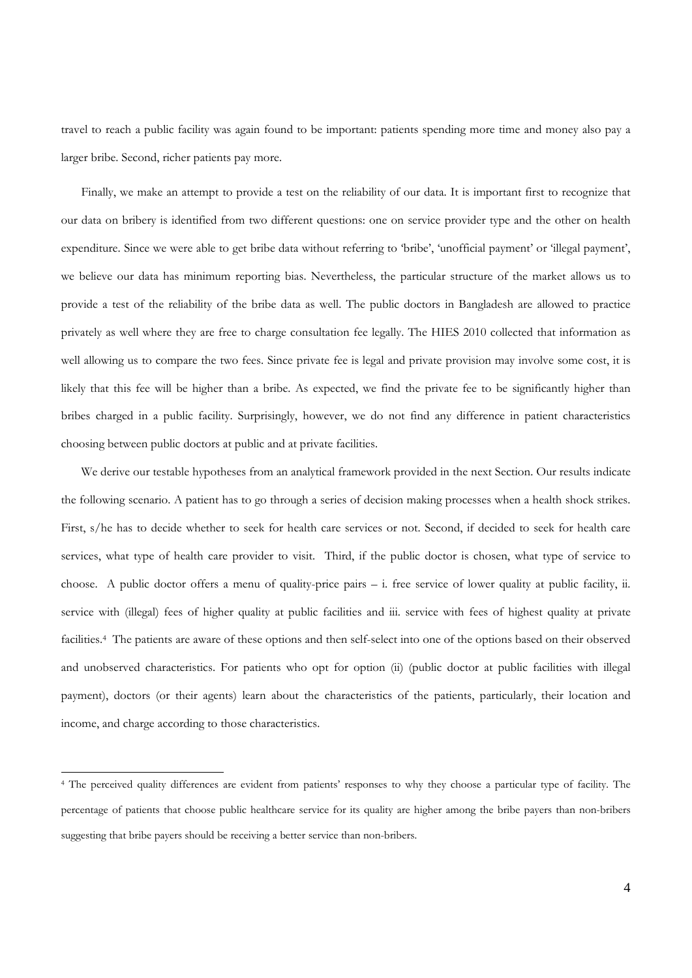travel to reach a public facility was again found to be important: patients spending more time and money also pay a larger bribe. Second, richer patients pay more.

Finally, we make an attempt to provide a test on the reliability of our data. It is important first to recognize that our data on bribery is identified from two different questions: one on service provider type and the other on health expenditure. Since we were able to get bribe data without referring to 'bribe', 'unofficial payment' or 'illegal payment', we believe our data has minimum reporting bias. Nevertheless, the particular structure of the market allows us to provide a test of the reliability of the bribe data as well. The public doctors in Bangladesh are allowed to practice privately as well where they are free to charge consultation fee legally. The HIES 2010 collected that information as well allowing us to compare the two fees. Since private fee is legal and private provision may involve some cost, it is likely that this fee will be higher than a bribe. As expected, we find the private fee to be significantly higher than bribes charged in a public facility. Surprisingly, however, we do not find any difference in patient characteristics choosing between public doctors at public and at private facilities.

We derive our testable hypotheses from an analytical framework provided in the next Section. Our results indicate the following scenario. A patient has to go through a series of decision making processes when a health shock strikes. First, s/he has to decide whether to seek for health care services or not. Second, if decided to seek for health care services, what type of health care provider to visit. Third, if the public doctor is chosen, what type of service to choose. A public doctor offers a menu of quality-price pairs – i. free service of lower quality at public facility, ii. service with (illegal) fees of higher quality at public facilities and iii. service with fees of highest quality at private facilities.4 The patients are aware of these options and then self-select into one of the options based on their observed and unobserved characteristics. For patients who opt for option (ii) (public doctor at public facilities with illegal payment), doctors (or their agents) learn about the characteristics of the patients, particularly, their location and income, and charge according to those characteristics.

<sup>4</sup> The perceived quality differences are evident from patients' responses to why they choose a particular type of facility. The percentage of patients that choose public healthcare service for its quality are higher among the bribe payers than non-bribers suggesting that bribe payers should be receiving a better service than non-bribers.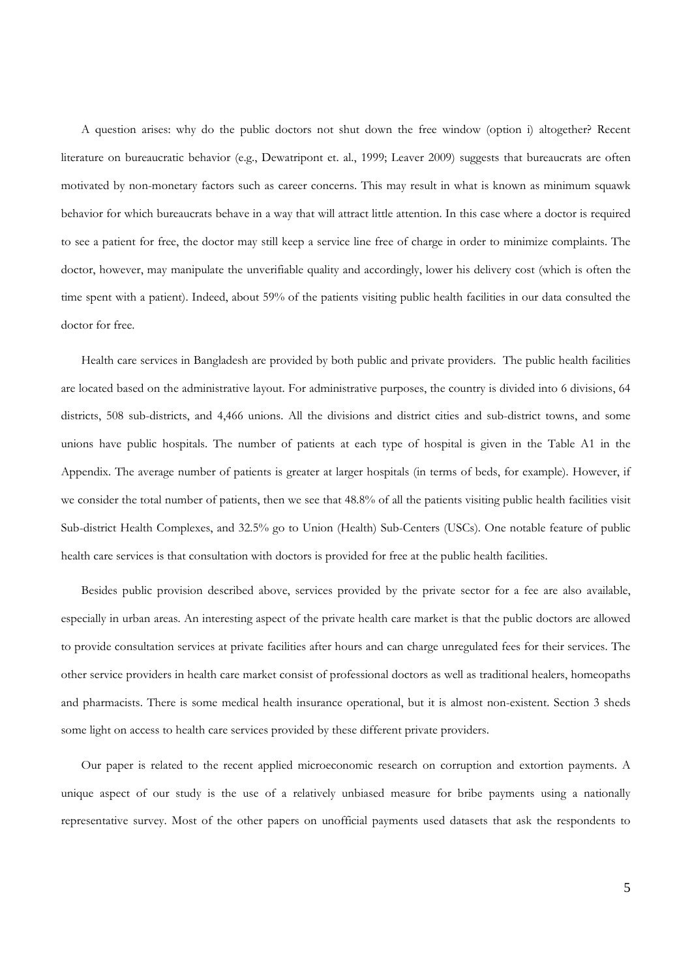A question arises: why do the public doctors not shut down the free window (option i) altogether? Recent literature on bureaucratic behavior (e.g., Dewatripont et. al., 1999; Leaver 2009) suggests that bureaucrats are often motivated by non-monetary factors such as career concerns. This may result in what is known as minimum squawk behavior for which bureaucrats behave in a way that will attract little attention. In this case where a doctor is required to see a patient for free, the doctor may still keep a service line free of charge in order to minimize complaints. The doctor, however, may manipulate the unverifiable quality and accordingly, lower his delivery cost (which is often the time spent with a patient). Indeed, about 59% of the patients visiting public health facilities in our data consulted the doctor for free.

Health care services in Bangladesh are provided by both public and private providers. The public health facilities are located based on the administrative layout. For administrative purposes, the country is divided into 6 divisions, 64 districts, 508 sub-districts, and 4,466 unions. All the divisions and district cities and sub-district towns, and some unions have public hospitals. The number of patients at each type of hospital is given in the Table A1 in the Appendix. The average number of patients is greater at larger hospitals (in terms of beds, for example). However, if we consider the total number of patients, then we see that 48.8% of all the patients visiting public health facilities visit Sub-district Health Complexes, and 32.5% go to Union (Health) Sub-Centers (USCs). One notable feature of public health care services is that consultation with doctors is provided for free at the public health facilities.

Besides public provision described above, services provided by the private sector for a fee are also available, especially in urban areas. An interesting aspect of the private health care market is that the public doctors are allowed to provide consultation services at private facilities after hours and can charge unregulated fees for their services. The other service providers in health care market consist of professional doctors as well as traditional healers, homeopaths and pharmacists. There is some medical health insurance operational, but it is almost non-existent. Section 3 sheds some light on access to health care services provided by these different private providers.

Our paper is related to the recent applied microeconomic research on corruption and extortion payments. A unique aspect of our study is the use of a relatively unbiased measure for bribe payments using a nationally representative survey. Most of the other papers on unofficial payments used datasets that ask the respondents to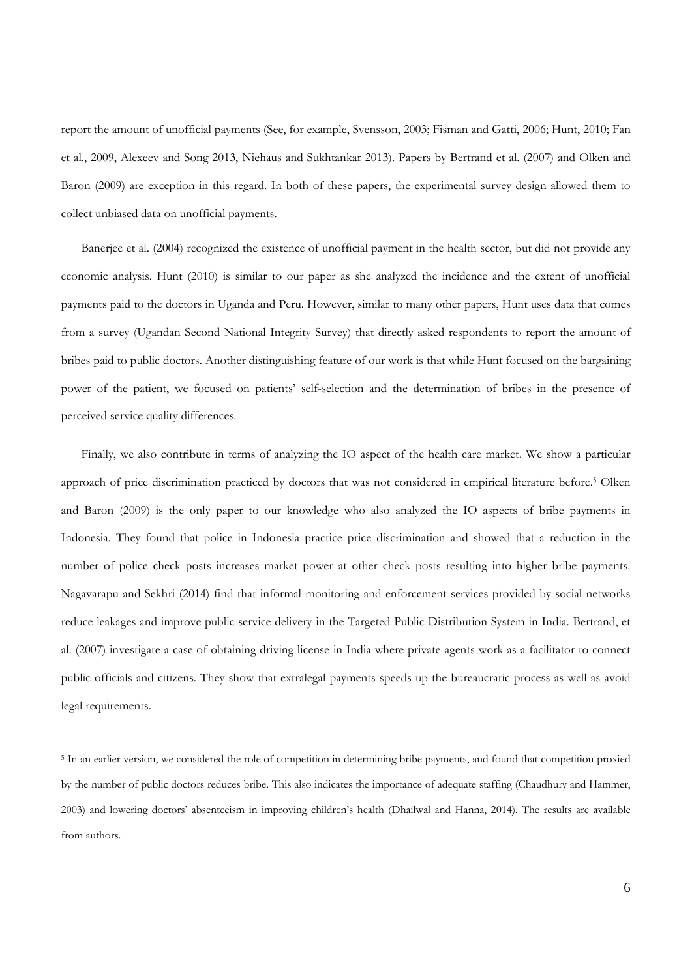report the amount of unofficial payments (See, for example, Svensson, 2003; Fisman and Gatti, 2006; Hunt, 2010; Fan et al., 2009, Alexeev and Song 2013, Niehaus and Sukhtankar 2013). Papers by Bertrand et al. (2007) and Olken and Baron (2009) are exception in this regard. In both of these papers, the experimental survey design allowed them to collect unbiased data on unofficial payments.

Banerjee et al. (2004) recognized the existence of unofficial payment in the health sector, but did not provide any economic analysis. Hunt (2010) is similar to our paper as she analyzed the incidence and the extent of unofficial payments paid to the doctors in Uganda and Peru. However, similar to many other papers, Hunt uses data that comes from a survey (Ugandan Second National Integrity Survey) that directly asked respondents to report the amount of bribes paid to public doctors. Another distinguishing feature of our work is that while Hunt focused on the bargaining power of the patient, we focused on patients' self-selection and the determination of bribes in the presence of perceived service quality differences.

Finally, we also contribute in terms of analyzing the IO aspect of the health care market. We show a particular approach of price discrimination practiced by doctors that was not considered in empirical literature before.5 Olken and Baron (2009) is the only paper to our knowledge who also analyzed the IO aspects of bribe payments in Indonesia. They found that police in Indonesia practice price discrimination and showed that a reduction in the number of police check posts increases market power at other check posts resulting into higher bribe payments. Nagavarapu and Sekhri (2014) find that informal monitoring and enforcement services provided by social networks reduce leakages and improve public service delivery in the Targeted Public Distribution System in India. Bertrand, et al. (2007) investigate a case of obtaining driving license in India where private agents work as a facilitator to connect public officials and citizens. They show that extralegal payments speeds up the bureaucratic process as well as avoid legal requirements.

<sup>5</sup> In an earlier version, we considered the role of competition in determining bribe payments, and found that competition proxied by the number of public doctors reduces bribe. This also indicates the importance of adequate staffing (Chaudhury and Hammer, 2003) and lowering doctors' absenteeism in improving children's health (Dhailwal and Hanna, 2014). The results are available from authors.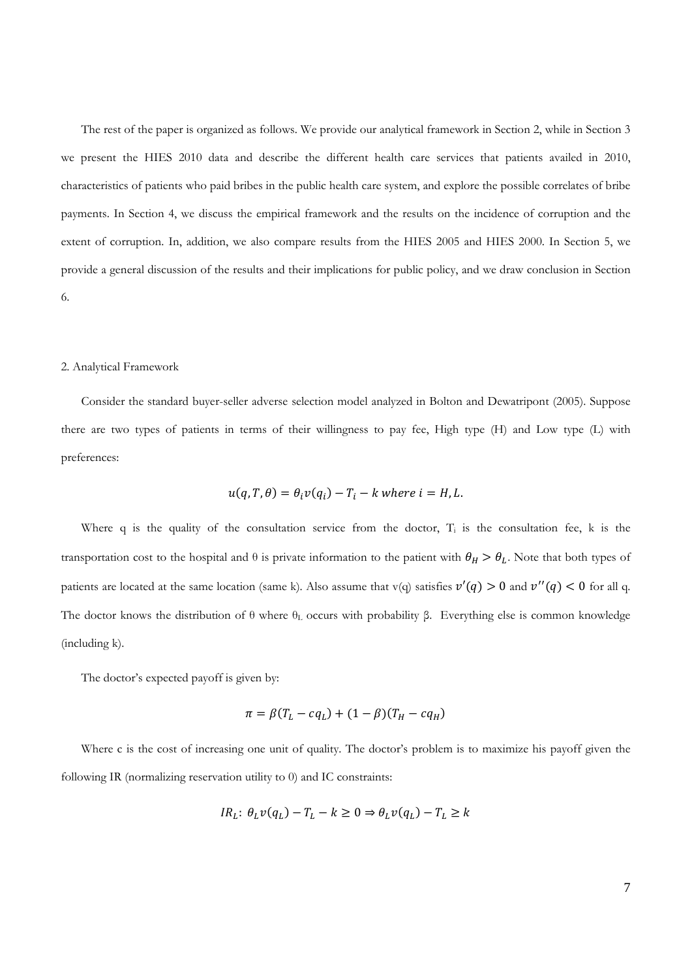The rest of the paper is organized as follows. We provide our analytical framework in Section 2, while in Section 3 we present the HIES 2010 data and describe the different health care services that patients availed in 2010, characteristics of patients who paid bribes in the public health care system, and explore the possible correlates of bribe payments. In Section 4, we discuss the empirical framework and the results on the incidence of corruption and the extent of corruption. In, addition, we also compare results from the HIES 2005 and HIES 2000. In Section 5, we provide a general discussion of the results and their implications for public policy, and we draw conclusion in Section 6.

### 2. Analytical Framework

Consider the standard buyer-seller adverse selection model analyzed in Bolton and Dewatripont (2005). Suppose there are two types of patients in terms of their willingness to pay fee, High type (H) and Low type (L) with preferences:

$$
u(q, T, \theta) = \theta_i v(q_i) - T_i - k
$$
 where  $i = H, L$ .

Where q is the quality of the consultation service from the doctor,  $T_i$  is the consultation fee, k is the transportation cost to the hospital and  $\theta$  is private information to the patient with  $\theta_H > \theta_L$ . Note that both types of patients are located at the same location (same k). Also assume that v(q) satisfies  $v'(q) > 0$  and  $v''(q) < 0$  for all q. The doctor knows the distribution of θ where  $θ$ <sub>L</sub> occurs with probability β. Everything else is common knowledge (including k).

The doctor's expected payoff is given by:

$$
\pi = \beta (T_L - c q_L) + (1 - \beta)(T_H - c q_H)
$$

Where c is the cost of increasing one unit of quality. The doctor's problem is to maximize his payoff given the following IR (normalizing reservation utility to 0) and IC constraints:

$$
IR_L: \theta_L v(q_L) - T_L - k \ge 0 \Rightarrow \theta_L v(q_L) - T_L \ge k
$$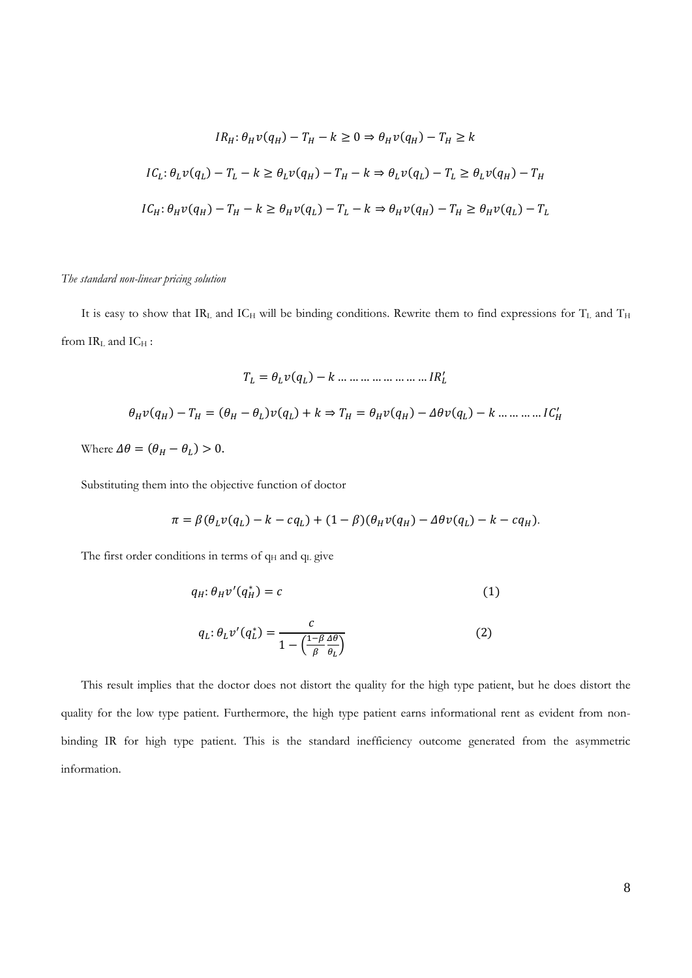$$
IR_H: \theta_H v(q_H) - T_H - k \ge 0 \Rightarrow \theta_H v(q_H) - T_H \ge k
$$
  

$$
IC_L: \theta_L v(q_L) - T_L - k \ge \theta_L v(q_H) - T_H - k \Rightarrow \theta_L v(q_L) - T_L \ge \theta_L v(q_H) - T_H
$$
  

$$
IC_H: \theta_H v(q_H) - T_H - k \ge \theta_H v(q_L) - T_L - k \Rightarrow \theta_H v(q_H) - T_H \ge \theta_H v(q_L) - T_L
$$

# *The standard non-linear pricing solution*

It is easy to show that IRL and ICH will be binding conditions. Rewrite them to find expressions for  $T_L$  and  $T_H$ from  $IR<sub>L</sub>$  and  $IC<sub>H</sub>$ :

ܴܫ ... ... ... ... ... ... ... ... ݇ െ ሻݍሺݒߠ ൌ ܶ ᇱ ߠுݒሺݍுሻ െ ܶு ൌ ሺߠு െ ߠሻݒሺݍሻ ݇⇒ܶு ൌ ߠுݒሺݍுሻ െ ݒߠ߂ሺݍሻ െ ݇ … … … … ܥܫு ᇱ Where ߠ߂ ൌ ሺߠு െ ߠሻ 0.

Substituting them into the objective function of doctor

$$
\pi = \beta(\theta_L v(q_L) - k - c q_L) + (1 - \beta)(\theta_H v(q_H) - \Delta\theta v(q_L) - k - c q_H).
$$

The first order conditions in terms of  $q_H$  and  $q_L$  give

$$
q_H: \theta_H v'(q_H^*) = c \tag{1}
$$

$$
q_L: \theta_L v'(q_L^*) = \frac{c}{1 - \left(\frac{1 - \beta}{\beta} \frac{\Delta \theta}{\theta_L}\right)}
$$
(2)

This result implies that the doctor does not distort the quality for the high type patient, but he does distort the quality for the low type patient. Furthermore, the high type patient earns informational rent as evident from nonbinding IR for high type patient. This is the standard inefficiency outcome generated from the asymmetric information.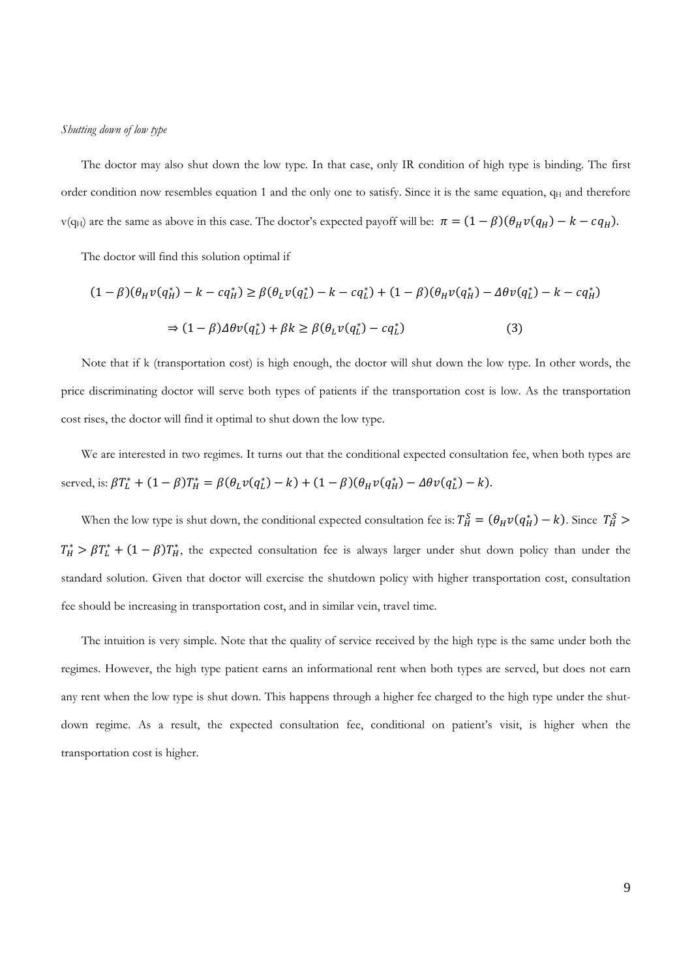#### *Shutting down of low type*

The doctor may also shut down the low type. In that case, only IR condition of high type is binding. The first order condition now resembles equation 1 and the only one to satisfy. Since it is the same equation,  $q_H$  and therefore v(q<sub>H</sub>) are the same as above in this case. The doctor's expected payoff will be:  $\pi = (1 - \beta)(\theta_H v(q_H) - k - c q_H)$ .

The doctor will find this solution optimal if

$$
(1 - \beta)(\theta_H v(q_H^*) - k - c q_H^*) \ge \beta(\theta_L v(q_L^*) - k - c q_L^*) + (1 - \beta)(\theta_H v(q_H^*) - \Delta \theta v(q_L^*) - k - c q_H^*)
$$
  

$$
\Rightarrow (1 - \beta)\Delta \theta v(q_L^*) + \beta k \ge \beta(\theta_L v(q_L^*) - c q_L^*)
$$
(3)

Note that if k (transportation cost) is high enough, the doctor will shut down the low type. In other words, the price discriminating doctor will serve both types of patients if the transportation cost is low. As the transportation cost rises, the doctor will find it optimal to shut down the low type.

We are interested in two regimes. It turns out that the conditional expected consultation fee, when both types are served, is:  $\beta T_L^* + (1 - \beta) T_H^* = \beta (\theta_L v(q_L^*) - k) + (1 - \beta) (\theta_H v(q_H^*) - \Delta \theta v(q_L^*) - k).$ 

When the low type is shut down, the conditional expected consultation fee is:  $T_H^S = (\theta_H v(q_H^*) - k)$ . Since  $T_H^S$  $T_H^* > \beta T_L^* + (1 - \beta)T_H^*$ , the expected consultation fee is always larger under shut down policy than under the standard solution. Given that doctor will exercise the shutdown policy with higher transportation cost, consultation fee should be increasing in transportation cost, and in similar vein, travel time.

The intuition is very simple. Note that the quality of service received by the high type is the same under both the regimes. However, the high type patient earns an informational rent when both types are served, but does not earn any rent when the low type is shut down. This happens through a higher fee charged to the high type under the shutdown regime. As a result, the expected consultation fee, conditional on patient's visit, is higher when the transportation cost is higher.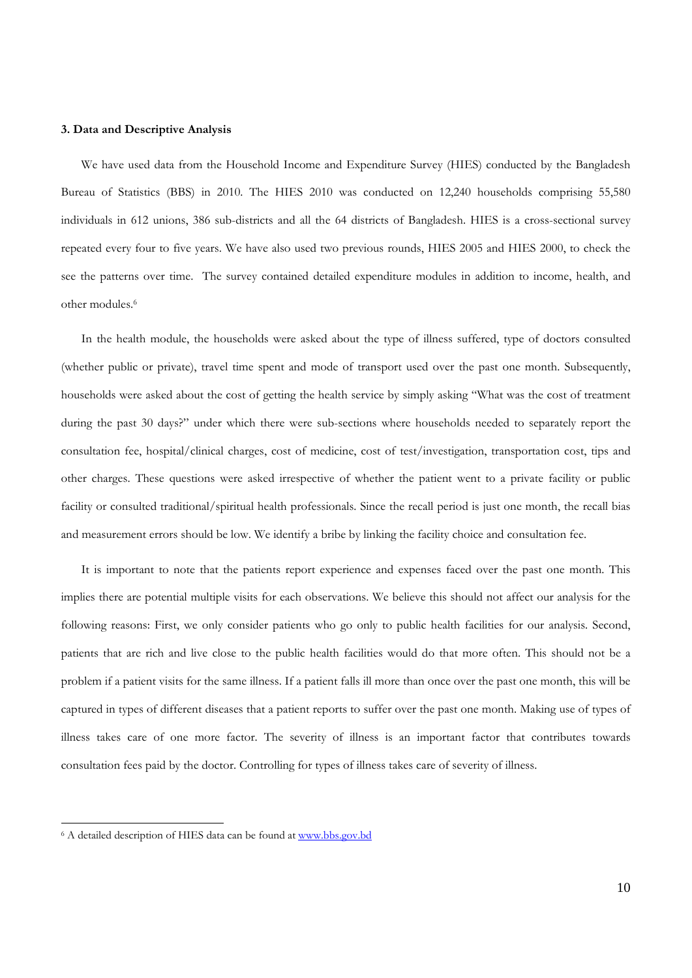### **3. Data and Descriptive Analysis**

We have used data from the Household Income and Expenditure Survey (HIES) conducted by the Bangladesh Bureau of Statistics (BBS) in 2010. The HIES 2010 was conducted on 12,240 households comprising 55,580 individuals in 612 unions, 386 sub-districts and all the 64 districts of Bangladesh. HIES is a cross-sectional survey repeated every four to five years. We have also used two previous rounds, HIES 2005 and HIES 2000, to check the see the patterns over time. The survey contained detailed expenditure modules in addition to income, health, and other modules.6

In the health module, the households were asked about the type of illness suffered, type of doctors consulted (whether public or private), travel time spent and mode of transport used over the past one month. Subsequently, households were asked about the cost of getting the health service by simply asking "What was the cost of treatment during the past 30 days?" under which there were sub-sections where households needed to separately report the consultation fee, hospital/clinical charges, cost of medicine, cost of test/investigation, transportation cost, tips and other charges. These questions were asked irrespective of whether the patient went to a private facility or public facility or consulted traditional/spiritual health professionals. Since the recall period is just one month, the recall bias and measurement errors should be low. We identify a bribe by linking the facility choice and consultation fee.

It is important to note that the patients report experience and expenses faced over the past one month. This implies there are potential multiple visits for each observations. We believe this should not affect our analysis for the following reasons: First, we only consider patients who go only to public health facilities for our analysis. Second, patients that are rich and live close to the public health facilities would do that more often. This should not be a problem if a patient visits for the same illness. If a patient falls ill more than once over the past one month, this will be captured in types of different diseases that a patient reports to suffer over the past one month. Making use of types of illness takes care of one more factor. The severity of illness is an important factor that contributes towards consultation fees paid by the doctor. Controlling for types of illness takes care of severity of illness.

<sup>&</sup>lt;sup>6</sup> A detailed description of HIES data can be found at www.bbs.gov.bd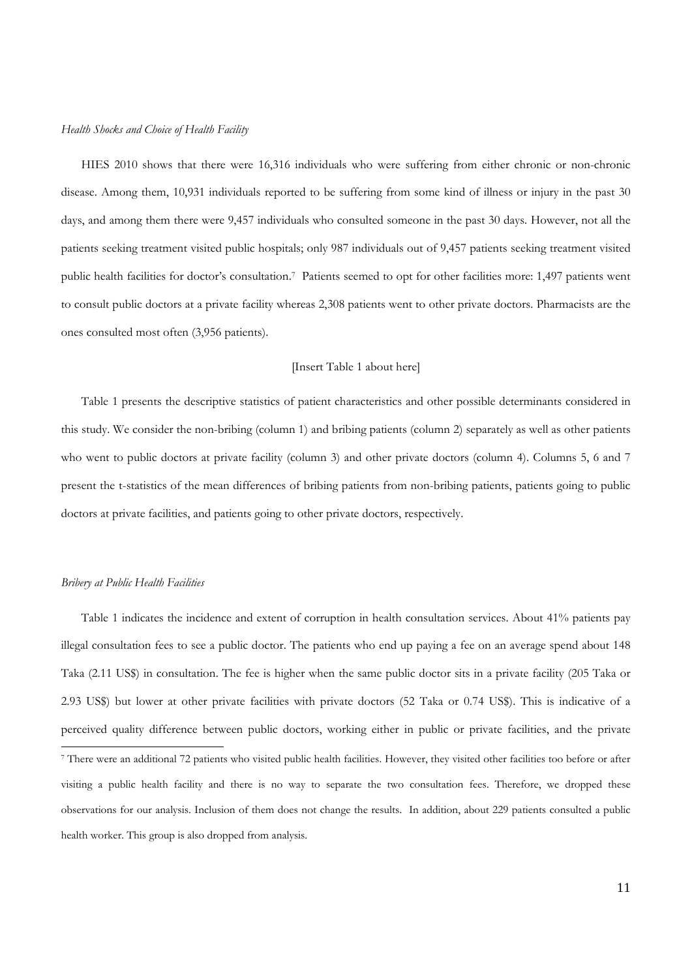#### *Health Shocks and Choice of Health Facility*

HIES 2010 shows that there were 16,316 individuals who were suffering from either chronic or non-chronic disease. Among them, 10,931 individuals reported to be suffering from some kind of illness or injury in the past 30 days, and among them there were 9,457 individuals who consulted someone in the past 30 days. However, not all the patients seeking treatment visited public hospitals; only 987 individuals out of 9,457 patients seeking treatment visited public health facilities for doctor's consultation.7 Patients seemed to opt for other facilities more: 1,497 patients went to consult public doctors at a private facility whereas 2,308 patients went to other private doctors. Pharmacists are the ones consulted most often (3,956 patients).

# [Insert Table 1 about here]

Table 1 presents the descriptive statistics of patient characteristics and other possible determinants considered in this study. We consider the non-bribing (column 1) and bribing patients (column 2) separately as well as other patients who went to public doctors at private facility (column 3) and other private doctors (column 4). Columns 5, 6 and 7 present the t-statistics of the mean differences of bribing patients from non-bribing patients, patients going to public doctors at private facilities, and patients going to other private doctors, respectively.

#### *Bribery at Public Health Facilities*

Table 1 indicates the incidence and extent of corruption in health consultation services. About 41% patients pay illegal consultation fees to see a public doctor. The patients who end up paying a fee on an average spend about 148 Taka (2.11 US\$) in consultation. The fee is higher when the same public doctor sits in a private facility (205 Taka or 2.93 US\$) but lower at other private facilities with private doctors (52 Taka or 0.74 US\$). This is indicative of a perceived quality difference between public doctors, working either in public or private facilities, and the private -7 There were an additional 72 patients who visited public health facilities. However, they visited other facilities too before or after visiting a public health facility and there is no way to separate the two consultation fees. Therefore, we dropped these observations for our analysis. Inclusion of them does not change the results. In addition, about 229 patients consulted a public health worker. This group is also dropped from analysis.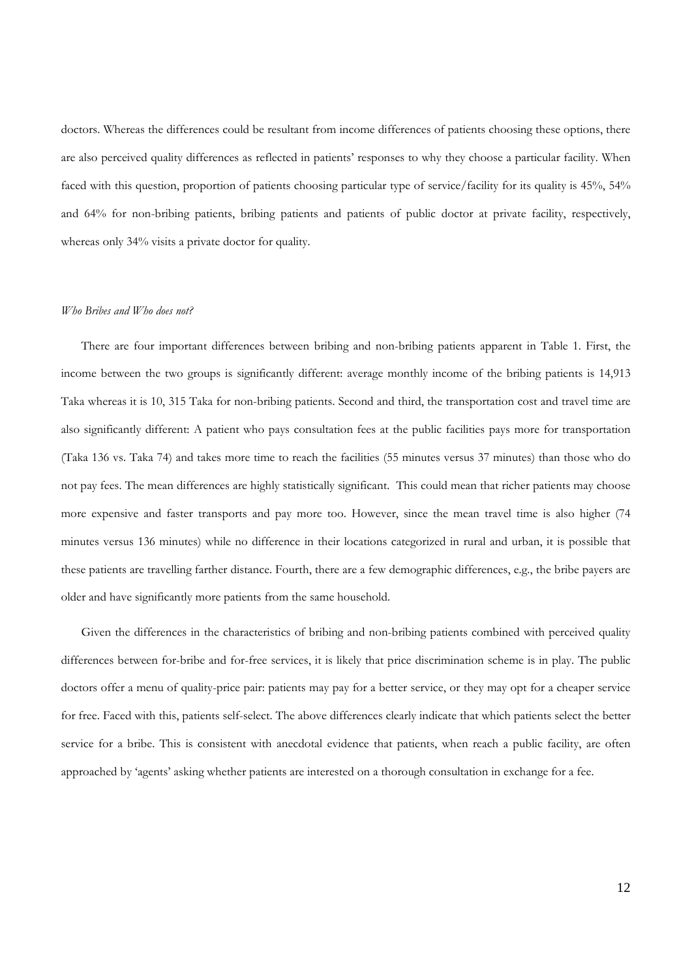doctors. Whereas the differences could be resultant from income differences of patients choosing these options, there are also perceived quality differences as reflected in patients' responses to why they choose a particular facility. When faced with this question, proportion of patients choosing particular type of service/facility for its quality is 45%, 54% and 64% for non-bribing patients, bribing patients and patients of public doctor at private facility, respectively, whereas only 34% visits a private doctor for quality.

# *Who Bribes and Who does not?*

There are four important differences between bribing and non-bribing patients apparent in Table 1. First, the income between the two groups is significantly different: average monthly income of the bribing patients is 14,913 Taka whereas it is 10, 315 Taka for non-bribing patients. Second and third, the transportation cost and travel time are also significantly different: A patient who pays consultation fees at the public facilities pays more for transportation (Taka 136 vs. Taka 74) and takes more time to reach the facilities (55 minutes versus 37 minutes) than those who do not pay fees. The mean differences are highly statistically significant. This could mean that richer patients may choose more expensive and faster transports and pay more too. However, since the mean travel time is also higher (74 minutes versus 136 minutes) while no difference in their locations categorized in rural and urban, it is possible that these patients are travelling farther distance. Fourth, there are a few demographic differences, e.g., the bribe payers are older and have significantly more patients from the same household.

Given the differences in the characteristics of bribing and non-bribing patients combined with perceived quality differences between for-bribe and for-free services, it is likely that price discrimination scheme is in play. The public doctors offer a menu of quality-price pair: patients may pay for a better service, or they may opt for a cheaper service for free. Faced with this, patients self-select. The above differences clearly indicate that which patients select the better service for a bribe. This is consistent with anecdotal evidence that patients, when reach a public facility, are often approached by 'agents' asking whether patients are interested on a thorough consultation in exchange for a fee.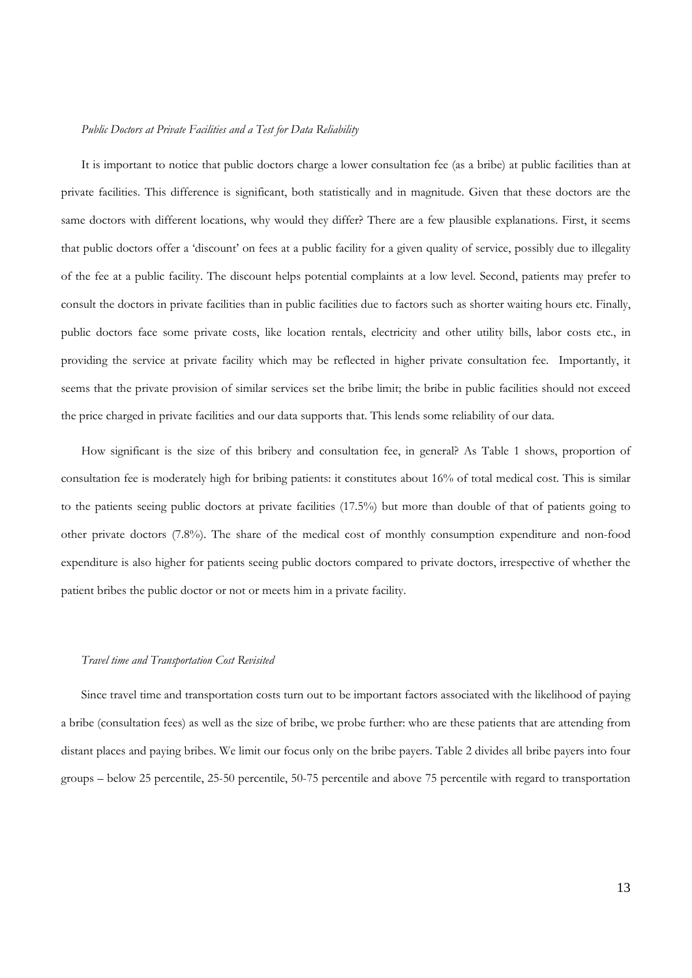### *Public Doctors at Private Facilities and a Test for Data Reliability*

It is important to notice that public doctors charge a lower consultation fee (as a bribe) at public facilities than at private facilities. This difference is significant, both statistically and in magnitude. Given that these doctors are the same doctors with different locations, why would they differ? There are a few plausible explanations. First, it seems that public doctors offer a 'discount' on fees at a public facility for a given quality of service, possibly due to illegality of the fee at a public facility. The discount helps potential complaints at a low level. Second, patients may prefer to consult the doctors in private facilities than in public facilities due to factors such as shorter waiting hours etc. Finally, public doctors face some private costs, like location rentals, electricity and other utility bills, labor costs etc., in providing the service at private facility which may be reflected in higher private consultation fee. Importantly, it seems that the private provision of similar services set the bribe limit; the bribe in public facilities should not exceed the price charged in private facilities and our data supports that. This lends some reliability of our data.

How significant is the size of this bribery and consultation fee, in general? As Table 1 shows, proportion of consultation fee is moderately high for bribing patients: it constitutes about 16% of total medical cost. This is similar to the patients seeing public doctors at private facilities (17.5%) but more than double of that of patients going to other private doctors (7.8%). The share of the medical cost of monthly consumption expenditure and non-food expenditure is also higher for patients seeing public doctors compared to private doctors, irrespective of whether the patient bribes the public doctor or not or meets him in a private facility.

### *Travel time and Transportation Cost Revisited*

Since travel time and transportation costs turn out to be important factors associated with the likelihood of paying a bribe (consultation fees) as well as the size of bribe, we probe further: who are these patients that are attending from distant places and paying bribes. We limit our focus only on the bribe payers. Table 2 divides all bribe payers into four groups – below 25 percentile, 25-50 percentile, 50-75 percentile and above 75 percentile with regard to transportation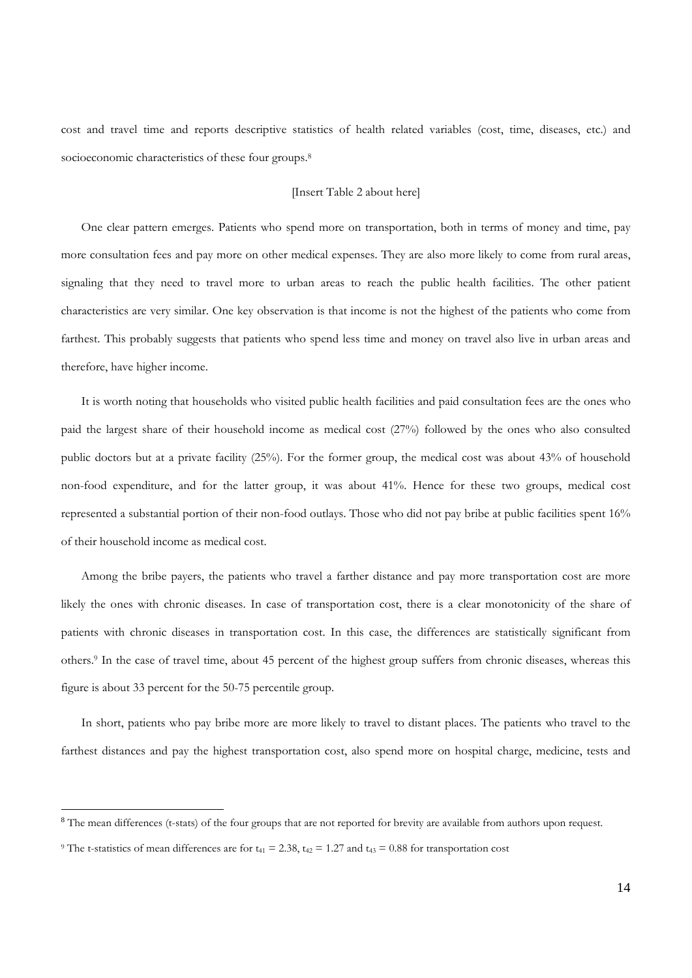cost and travel time and reports descriptive statistics of health related variables (cost, time, diseases, etc.) and socioeconomic characteristics of these four groups.<sup>8</sup>

# [Insert Table 2 about here]

One clear pattern emerges. Patients who spend more on transportation, both in terms of money and time, pay more consultation fees and pay more on other medical expenses. They are also more likely to come from rural areas, signaling that they need to travel more to urban areas to reach the public health facilities. The other patient characteristics are very similar. One key observation is that income is not the highest of the patients who come from farthest. This probably suggests that patients who spend less time and money on travel also live in urban areas and therefore, have higher income.

It is worth noting that households who visited public health facilities and paid consultation fees are the ones who paid the largest share of their household income as medical cost (27%) followed by the ones who also consulted public doctors but at a private facility (25%). For the former group, the medical cost was about 43% of household non-food expenditure, and for the latter group, it was about 41%. Hence for these two groups, medical cost represented a substantial portion of their non-food outlays. Those who did not pay bribe at public facilities spent 16% of their household income as medical cost.

Among the bribe payers, the patients who travel a farther distance and pay more transportation cost are more likely the ones with chronic diseases. In case of transportation cost, there is a clear monotonicity of the share of patients with chronic diseases in transportation cost. In this case, the differences are statistically significant from others.9 In the case of travel time, about 45 percent of the highest group suffers from chronic diseases, whereas this figure is about 33 percent for the 50-75 percentile group.

In short, patients who pay bribe more are more likely to travel to distant places. The patients who travel to the farthest distances and pay the highest transportation cost, also spend more on hospital charge, medicine, tests and

<sup>&</sup>lt;sup>8</sup> The mean differences (t-stats) of the four groups that are not reported for brevity are available from authors upon request.

<sup>&</sup>lt;sup>9</sup> The t-statistics of mean differences are for t<sub>41</sub> = 2.38, t<sub>42</sub> = 1.27 and t<sub>43</sub> = 0.88 for transportation cost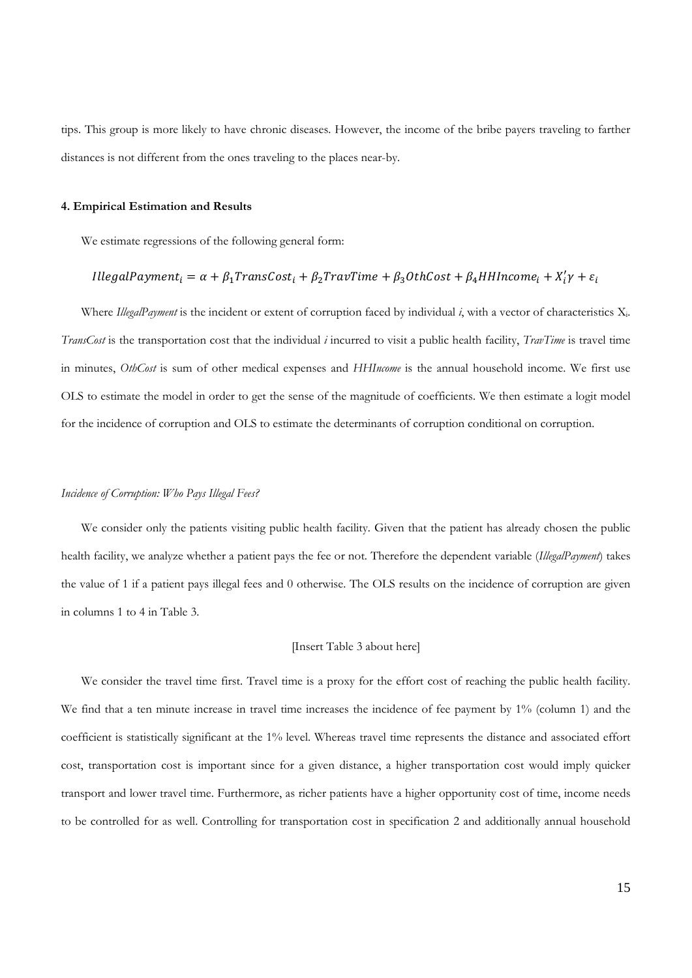tips. This group is more likely to have chronic diseases. However, the income of the bribe payers traveling to farther distances is not different from the ones traveling to the places near-by.

# **4. Empirical Estimation and Results**

We estimate regressions of the following general form:

# $Il legal Payment_i = \alpha + \beta_1 TransCost_i + \beta_2 TravTime + \beta_3 OthCost + \beta_4 HHIncome_i + X'_i \gamma + \varepsilon_i$

Where *IllegalPayment* is the incident or extent of corruption faced by individual *i*, with a vector of characteristics Xi. *TransCost* is the transportation cost that the individual *i* incurred to visit a public health facility, *TravTime* is travel time in minutes, *OthCost* is sum of other medical expenses and *HHIncome* is the annual household income. We first use OLS to estimate the model in order to get the sense of the magnitude of coefficients. We then estimate a logit model for the incidence of corruption and OLS to estimate the determinants of corruption conditional on corruption.

### *Incidence of Corruption: Who Pays Illegal Fees?*

We consider only the patients visiting public health facility. Given that the patient has already chosen the public health facility, we analyze whether a patient pays the fee or not. Therefore the dependent variable (*IllegalPayment*) takes the value of 1 if a patient pays illegal fees and 0 otherwise. The OLS results on the incidence of corruption are given in columns 1 to 4 in Table 3.

### [Insert Table 3 about here]

We consider the travel time first. Travel time is a proxy for the effort cost of reaching the public health facility. We find that a ten minute increase in travel time increases the incidence of fee payment by 1% (column 1) and the coefficient is statistically significant at the 1% level. Whereas travel time represents the distance and associated effort cost, transportation cost is important since for a given distance, a higher transportation cost would imply quicker transport and lower travel time. Furthermore, as richer patients have a higher opportunity cost of time, income needs to be controlled for as well. Controlling for transportation cost in specification 2 and additionally annual household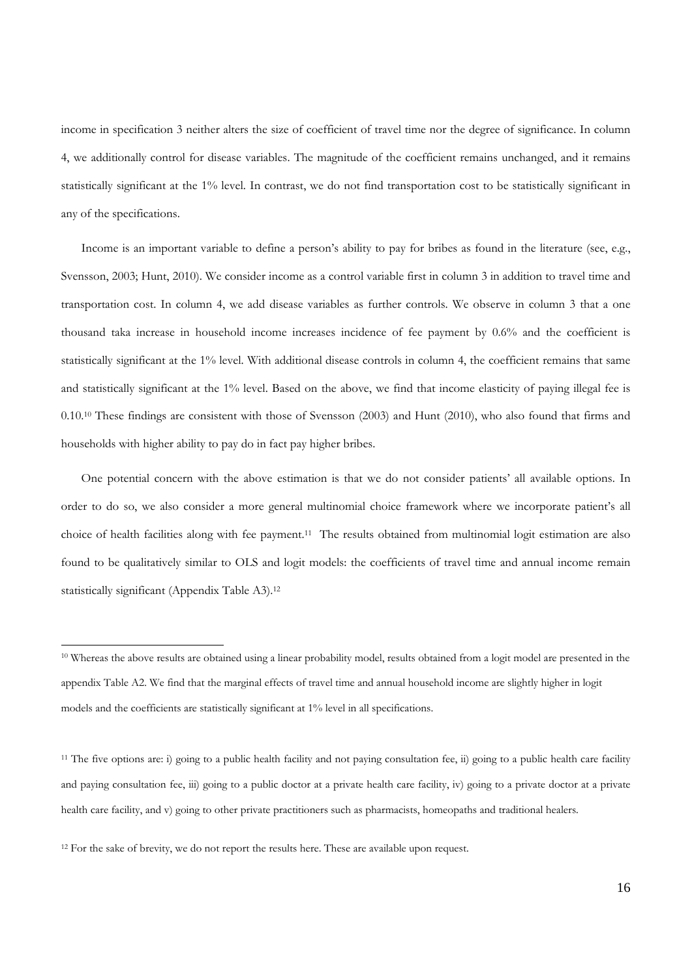income in specification 3 neither alters the size of coefficient of travel time nor the degree of significance. In column 4, we additionally control for disease variables. The magnitude of the coefficient remains unchanged, and it remains statistically significant at the 1% level. In contrast, we do not find transportation cost to be statistically significant in any of the specifications.

Income is an important variable to define a person's ability to pay for bribes as found in the literature (see, e.g., Svensson, 2003; Hunt, 2010). We consider income as a control variable first in column 3 in addition to travel time and transportation cost. In column 4, we add disease variables as further controls. We observe in column 3 that a one thousand taka increase in household income increases incidence of fee payment by 0.6% and the coefficient is statistically significant at the 1% level. With additional disease controls in column 4, the coefficient remains that same and statistically significant at the 1% level. Based on the above, we find that income elasticity of paying illegal fee is 0.10.10 These findings are consistent with those of Svensson (2003) and Hunt (2010), who also found that firms and households with higher ability to pay do in fact pay higher bribes.

One potential concern with the above estimation is that we do not consider patients' all available options. In order to do so, we also consider a more general multinomial choice framework where we incorporate patient's all choice of health facilities along with fee payment.11 The results obtained from multinomial logit estimation are also found to be qualitatively similar to OLS and logit models: the coefficients of travel time and annual income remain statistically significant (Appendix Table A3).12

 $\overline{a}$ 

<sup>10</sup> Whereas the above results are obtained using a linear probability model, results obtained from a logit model are presented in the appendix Table A2. We find that the marginal effects of travel time and annual household income are slightly higher in logit models and the coefficients are statistically significant at 1% level in all specifications.

<sup>&</sup>lt;sup>11</sup> The five options are: i) going to a public health facility and not paying consultation fee, ii) going to a public health care facility and paying consultation fee, iii) going to a public doctor at a private health care facility, iv) going to a private doctor at a private health care facility, and v) going to other private practitioners such as pharmacists, homeopaths and traditional healers.

<sup>&</sup>lt;sup>12</sup> For the sake of brevity, we do not report the results here. These are available upon request.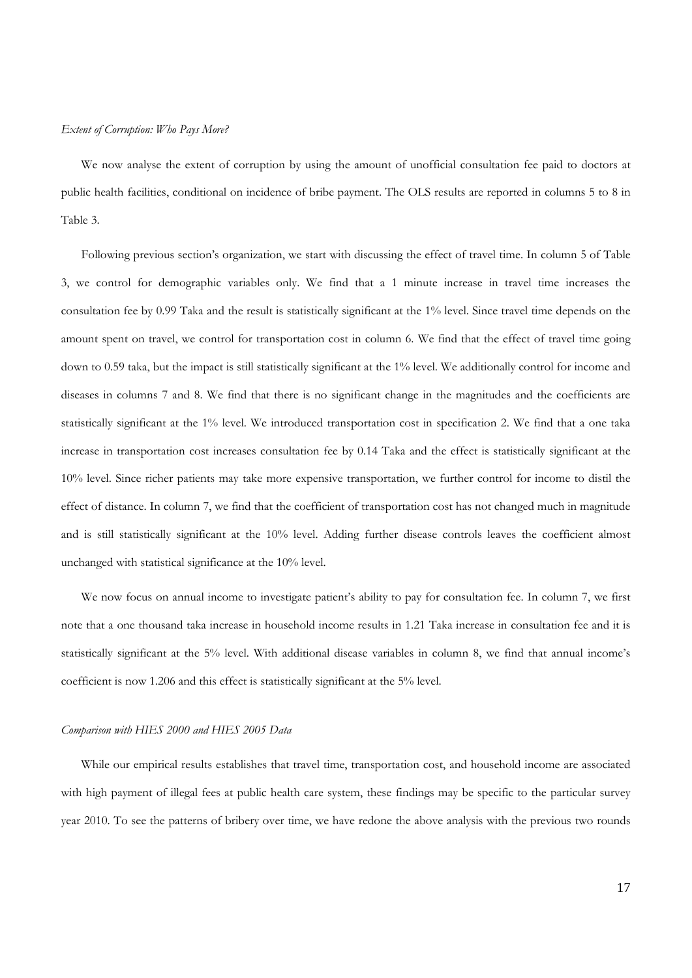# *Extent of Corruption: Who Pays More?*

We now analyse the extent of corruption by using the amount of unofficial consultation fee paid to doctors at public health facilities, conditional on incidence of bribe payment. The OLS results are reported in columns 5 to 8 in Table 3.

Following previous section's organization, we start with discussing the effect of travel time. In column 5 of Table 3, we control for demographic variables only. We find that a 1 minute increase in travel time increases the consultation fee by 0.99 Taka and the result is statistically significant at the 1% level. Since travel time depends on the amount spent on travel, we control for transportation cost in column 6. We find that the effect of travel time going down to 0.59 taka, but the impact is still statistically significant at the 1% level. We additionally control for income and diseases in columns 7 and 8. We find that there is no significant change in the magnitudes and the coefficients are statistically significant at the 1% level. We introduced transportation cost in specification 2. We find that a one taka increase in transportation cost increases consultation fee by 0.14 Taka and the effect is statistically significant at the 10% level. Since richer patients may take more expensive transportation, we further control for income to distil the effect of distance. In column 7, we find that the coefficient of transportation cost has not changed much in magnitude and is still statistically significant at the 10% level. Adding further disease controls leaves the coefficient almost unchanged with statistical significance at the 10% level.

We now focus on annual income to investigate patient's ability to pay for consultation fee. In column 7, we first note that a one thousand taka increase in household income results in 1.21 Taka increase in consultation fee and it is statistically significant at the 5% level. With additional disease variables in column 8, we find that annual income's coefficient is now 1.206 and this effect is statistically significant at the 5% level.

### *Comparison with HIES 2000 and HIES 2005 Data*

While our empirical results establishes that travel time, transportation cost, and household income are associated with high payment of illegal fees at public health care system, these findings may be specific to the particular survey year 2010. To see the patterns of bribery over time, we have redone the above analysis with the previous two rounds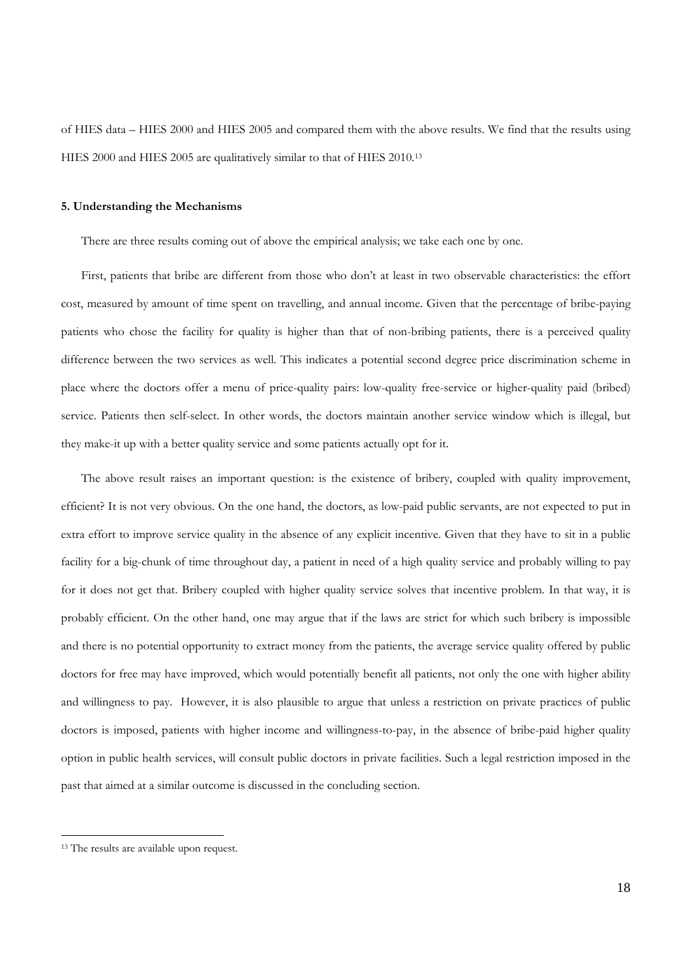of HIES data – HIES 2000 and HIES 2005 and compared them with the above results. We find that the results using HIES 2000 and HIES 2005 are qualitatively similar to that of HIES 2010.13

# **5. Understanding the Mechanisms**

There are three results coming out of above the empirical analysis; we take each one by one.

First, patients that bribe are different from those who don't at least in two observable characteristics: the effort cost, measured by amount of time spent on travelling, and annual income. Given that the percentage of bribe-paying patients who chose the facility for quality is higher than that of non-bribing patients, there is a perceived quality difference between the two services as well. This indicates a potential second degree price discrimination scheme in place where the doctors offer a menu of price-quality pairs: low-quality free-service or higher-quality paid (bribed) service. Patients then self-select. In other words, the doctors maintain another service window which is illegal, but they make-it up with a better quality service and some patients actually opt for it.

The above result raises an important question: is the existence of bribery, coupled with quality improvement, efficient? It is not very obvious. On the one hand, the doctors, as low-paid public servants, are not expected to put in extra effort to improve service quality in the absence of any explicit incentive. Given that they have to sit in a public facility for a big-chunk of time throughout day, a patient in need of a high quality service and probably willing to pay for it does not get that. Bribery coupled with higher quality service solves that incentive problem. In that way, it is probably efficient. On the other hand, one may argue that if the laws are strict for which such bribery is impossible and there is no potential opportunity to extract money from the patients, the average service quality offered by public doctors for free may have improved, which would potentially benefit all patients, not only the one with higher ability and willingness to pay. However, it is also plausible to argue that unless a restriction on private practices of public doctors is imposed, patients with higher income and willingness-to-pay, in the absence of bribe-paid higher quality option in public health services, will consult public doctors in private facilities. Such a legal restriction imposed in the past that aimed at a similar outcome is discussed in the concluding section.

<sup>&</sup>lt;sup>13</sup> The results are available upon request.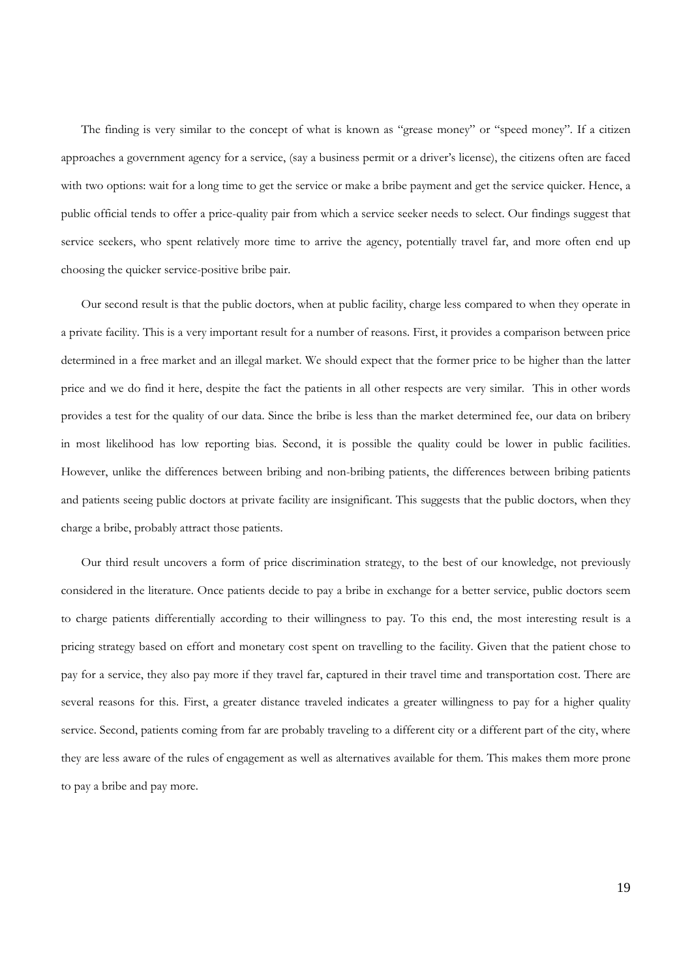The finding is very similar to the concept of what is known as "grease money" or "speed money". If a citizen approaches a government agency for a service, (say a business permit or a driver's license), the citizens often are faced with two options: wait for a long time to get the service or make a bribe payment and get the service quicker. Hence, a public official tends to offer a price-quality pair from which a service seeker needs to select. Our findings suggest that service seekers, who spent relatively more time to arrive the agency, potentially travel far, and more often end up choosing the quicker service-positive bribe pair.

Our second result is that the public doctors, when at public facility, charge less compared to when they operate in a private facility. This is a very important result for a number of reasons. First, it provides a comparison between price determined in a free market and an illegal market. We should expect that the former price to be higher than the latter price and we do find it here, despite the fact the patients in all other respects are very similar. This in other words provides a test for the quality of our data. Since the bribe is less than the market determined fee, our data on bribery in most likelihood has low reporting bias. Second, it is possible the quality could be lower in public facilities. However, unlike the differences between bribing and non-bribing patients, the differences between bribing patients and patients seeing public doctors at private facility are insignificant. This suggests that the public doctors, when they charge a bribe, probably attract those patients.

Our third result uncovers a form of price discrimination strategy, to the best of our knowledge, not previously considered in the literature. Once patients decide to pay a bribe in exchange for a better service, public doctors seem to charge patients differentially according to their willingness to pay. To this end, the most interesting result is a pricing strategy based on effort and monetary cost spent on travelling to the facility. Given that the patient chose to pay for a service, they also pay more if they travel far, captured in their travel time and transportation cost. There are several reasons for this. First, a greater distance traveled indicates a greater willingness to pay for a higher quality service. Second, patients coming from far are probably traveling to a different city or a different part of the city, where they are less aware of the rules of engagement as well as alternatives available for them. This makes them more prone to pay a bribe and pay more.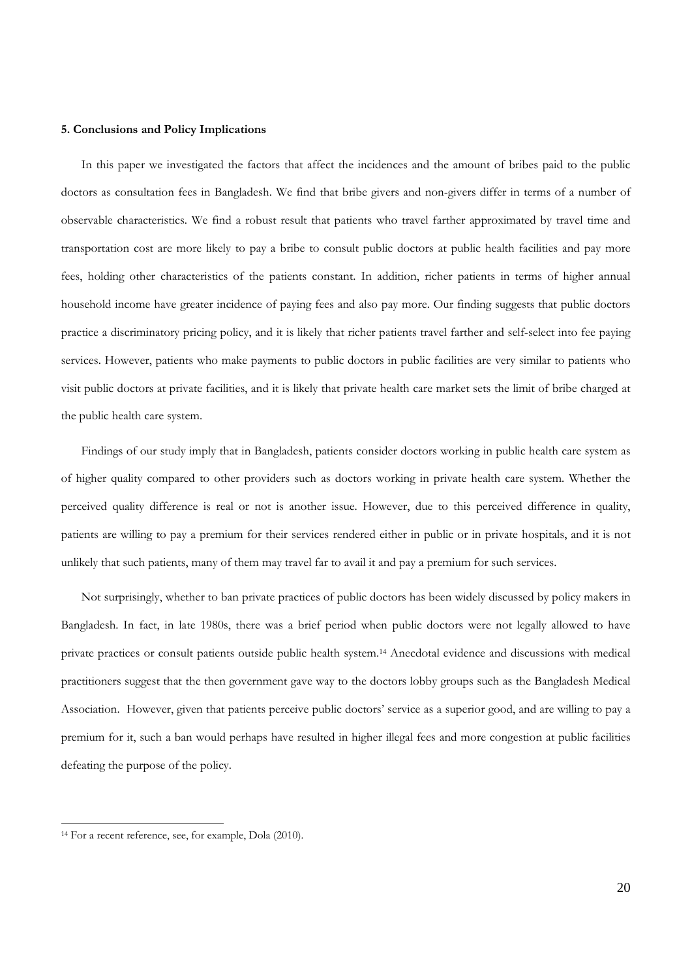# **5. Conclusions and Policy Implications**

In this paper we investigated the factors that affect the incidences and the amount of bribes paid to the public doctors as consultation fees in Bangladesh. We find that bribe givers and non-givers differ in terms of a number of observable characteristics. We find a robust result that patients who travel farther approximated by travel time and transportation cost are more likely to pay a bribe to consult public doctors at public health facilities and pay more fees, holding other characteristics of the patients constant. In addition, richer patients in terms of higher annual household income have greater incidence of paying fees and also pay more. Our finding suggests that public doctors practice a discriminatory pricing policy, and it is likely that richer patients travel farther and self-select into fee paying services. However, patients who make payments to public doctors in public facilities are very similar to patients who visit public doctors at private facilities, and it is likely that private health care market sets the limit of bribe charged at the public health care system.

Findings of our study imply that in Bangladesh, patients consider doctors working in public health care system as of higher quality compared to other providers such as doctors working in private health care system. Whether the perceived quality difference is real or not is another issue. However, due to this perceived difference in quality, patients are willing to pay a premium for their services rendered either in public or in private hospitals, and it is not unlikely that such patients, many of them may travel far to avail it and pay a premium for such services.

Not surprisingly, whether to ban private practices of public doctors has been widely discussed by policy makers in Bangladesh. In fact, in late 1980s, there was a brief period when public doctors were not legally allowed to have private practices or consult patients outside public health system.14 Anecdotal evidence and discussions with medical practitioners suggest that the then government gave way to the doctors lobby groups such as the Bangladesh Medical Association. However, given that patients perceive public doctors' service as a superior good, and are willing to pay a premium for it, such a ban would perhaps have resulted in higher illegal fees and more congestion at public facilities defeating the purpose of the policy.

<sup>&</sup>lt;sup>14</sup> For a recent reference, see, for example, Dola (2010).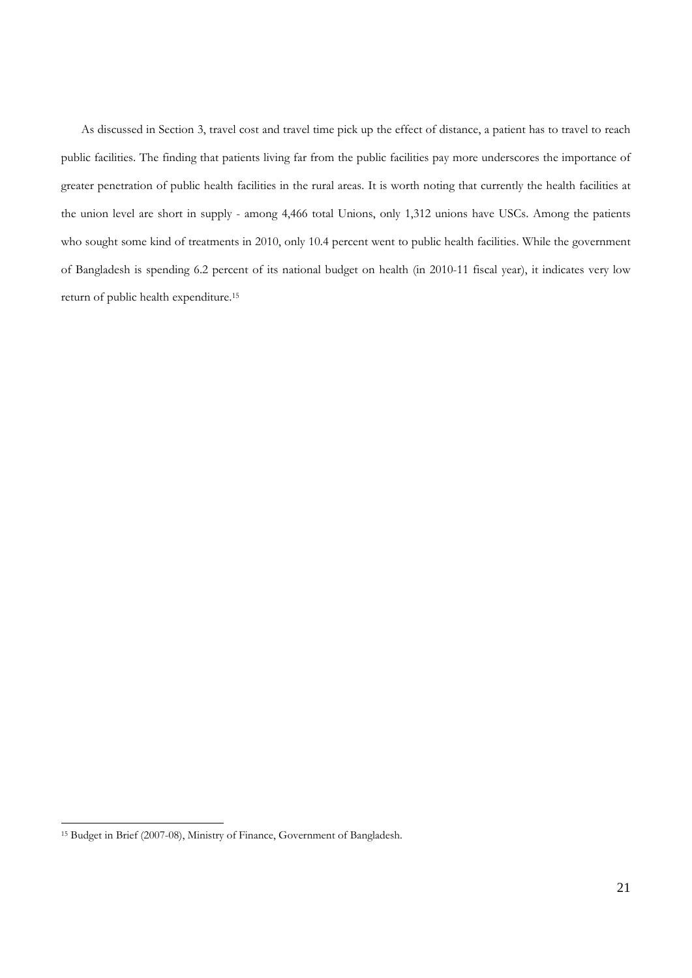As discussed in Section 3, travel cost and travel time pick up the effect of distance, a patient has to travel to reach public facilities. The finding that patients living far from the public facilities pay more underscores the importance of greater penetration of public health facilities in the rural areas. It is worth noting that currently the health facilities at the union level are short in supply - among 4,466 total Unions, only 1,312 unions have USCs. Among the patients who sought some kind of treatments in 2010, only 10.4 percent went to public health facilities. While the government of Bangladesh is spending 6.2 percent of its national budget on health (in 2010-11 fiscal year), it indicates very low return of public health expenditure.15

<sup>15</sup> Budget in Brief (2007-08), Ministry of Finance, Government of Bangladesh.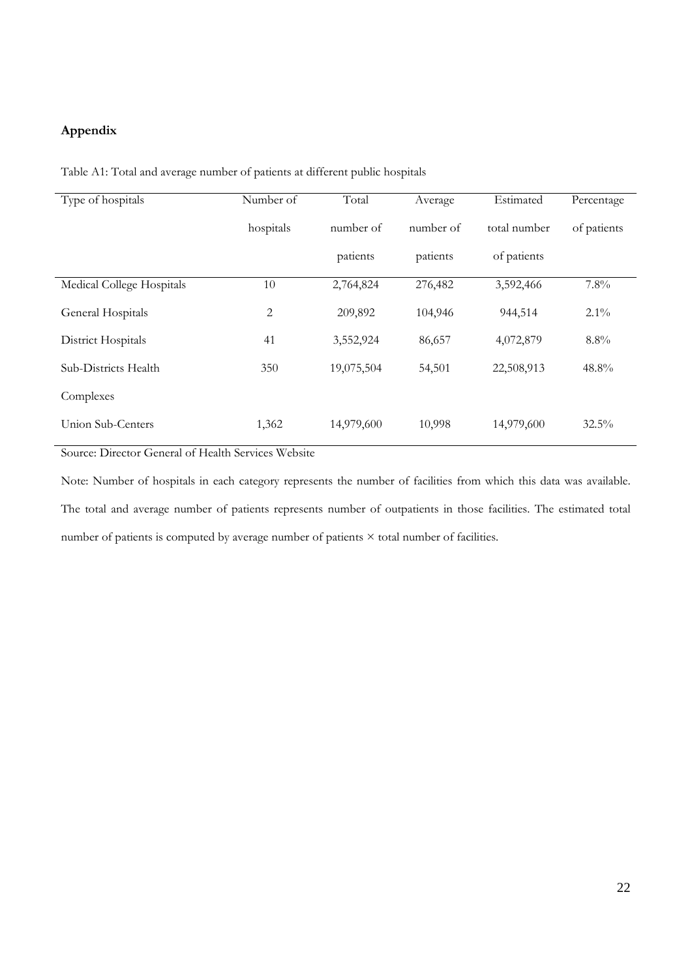# **Appendix**

| Type of hospitals         | Number of      | Total      | Average   | Estimated    | Percentage  |  |
|---------------------------|----------------|------------|-----------|--------------|-------------|--|
|                           | hospitals      | number of  | number of | total number | of patients |  |
|                           |                | patients   | patients  | of patients  |             |  |
| Medical College Hospitals | 10             | 2,764,824  | 276,482   | 3,592,466    | 7.8%        |  |
| General Hospitals         | $\overline{c}$ | 209,892    | 104,946   | 944,514      | $2.1\%$     |  |
| District Hospitals        | 41             | 3,552,924  | 86,657    | 4,072,879    | 8.8%        |  |
| Sub-Districts Health      | 350            | 19,075,504 | 54,501    | 22,508,913   | 48.8%       |  |
| Complexes                 |                |            |           |              |             |  |
| Union Sub-Centers         | 1,362          | 14,979,600 | 10,998    | 14,979,600   | 32.5%       |  |

Table A1: Total and average number of patients at different public hospitals

Source: Director General of Health Services Website

Note: Number of hospitals in each category represents the number of facilities from which this data was available. The total and average number of patients represents number of outpatients in those facilities. The estimated total number of patients is computed by average number of patients × total number of facilities.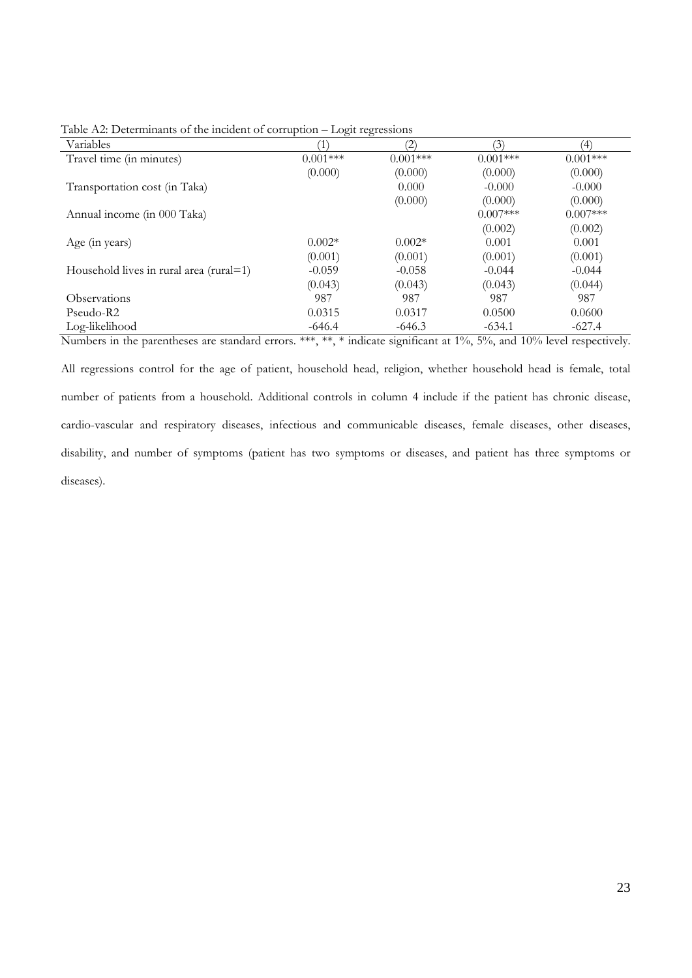| Variables                               |            | (2)        | $\mathcal{E}$ | $\left( 4\right)$ |
|-----------------------------------------|------------|------------|---------------|-------------------|
| Travel time (in minutes)                | $0.001***$ | $0.001***$ | $0.001***$    | $0.001***$        |
|                                         | (0.000)    | (0.000)    | (0.000)       | (0.000)           |
| Transportation cost (in Taka)           |            | 0.000      | $-0.000$      | $-0.000$          |
|                                         |            | (0.000)    | (0.000)       | (0.000)           |
| Annual income (in 000 Taka)             |            |            | $0.007***$    | $0.007***$        |
|                                         |            |            | (0.002)       | (0.002)           |
| Age (in years)                          | $0.002*$   | $0.002*$   | 0.001         | 0.001             |
|                                         | (0.001)    | (0.001)    | (0.001)       | (0.001)           |
| Household lives in rural area (rural=1) | $-0.059$   | $-0.058$   | $-0.044$      | $-0.044$          |
|                                         | (0.043)    | (0.043)    | (0.043)       | (0.044)           |
| <b>Observations</b>                     | 987        | 987        | 987           | 987               |
| Pseudo-R2                               | 0.0315     | 0.0317     | 0.0500        | 0.0600            |
| Log-likelihood                          | $-646.4$   | $-646.3$   | $-634.1$      | $-627.4$          |

Table A2: Determinants of the incident of corruption – Logit regressions

Numbers in the parentheses are standard errors. \*\*\*, \*\*, \* indicate significant at 1%, 5%, and 10% level respectively. All regressions control for the age of patient, household head, religion, whether household head is female, total number of patients from a household. Additional controls in column 4 include if the patient has chronic disease, cardio-vascular and respiratory diseases, infectious and communicable diseases, female diseases, other diseases, disability, and number of symptoms (patient has two symptoms or diseases, and patient has three symptoms or

diseases).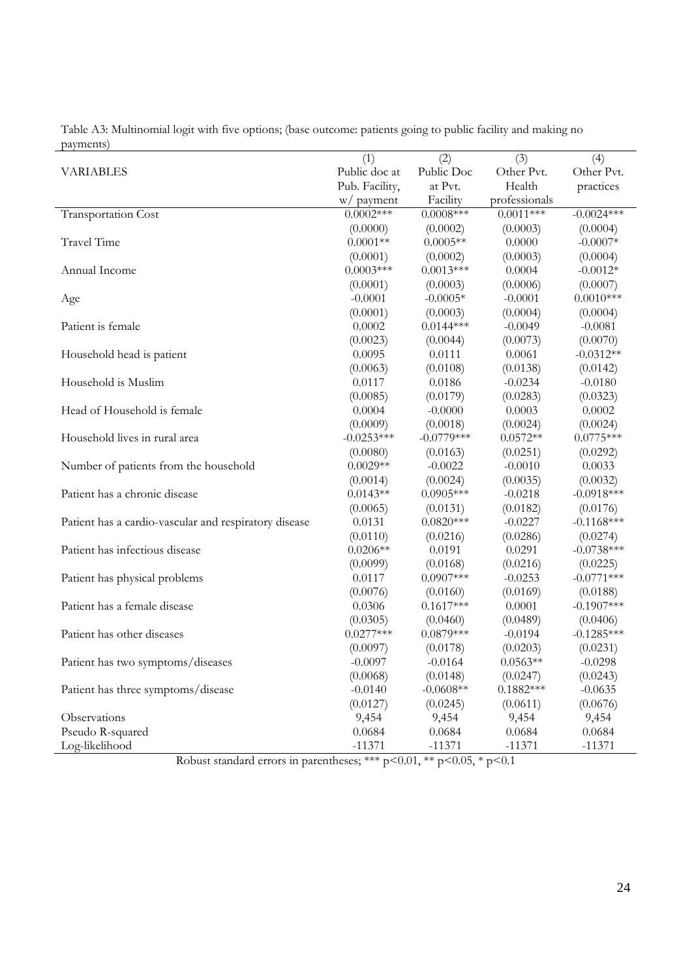|                                                       | (1)            | (2)          | (3)           | (4)          |
|-------------------------------------------------------|----------------|--------------|---------------|--------------|
| <b>VARIABLES</b>                                      | Public doc at  | Public Doc   | Other Pvt.    | Other Pvt.   |
|                                                       | Pub. Facility, | at Pvt.      | Health        | practices    |
|                                                       | w/ payment     | Facility     | professionals |              |
| <b>Transportation Cost</b>                            | $0.0002***$    | $0.0008***$  | $0.0011***$   | $-0.0024***$ |
|                                                       | (0.0000)       | (0.0002)     | (0.0003)      | (0.0004)     |
| Travel Time                                           | $0.0001**$     | $0.0005**$   | 0.0000        | $-0.0007*$   |
|                                                       | (0.0001)       | (0.0002)     | (0.0003)      | (0.0004)     |
| Annual Income                                         | $0.0003***$    | $0.0013***$  | 0.0004        | $-0.0012*$   |
|                                                       | (0.0001)       | (0.0003)     | (0.0006)      | (0.0007)     |
| Age                                                   | $-0.0001$      | $-0.0005*$   | $-0.0001$     | $0.0010***$  |
|                                                       | (0.0001)       | (0.0003)     | (0.0004)      | (0.0004)     |
| Patient is female                                     | 0.0002         | $0.0144***$  | $-0.0049$     | $-0.0081$    |
|                                                       | (0.0023)       | (0.0044)     | (0.0073)      | (0.0070)     |
| Household head is patient                             | 0.0095         | 0.0111       | 0.0061        | $-0.0312**$  |
|                                                       | (0.0063)       | (0.0108)     | (0.0138)      | (0.0142)     |
| Household is Muslim                                   | 0.0117         | 0.0186       | $-0.0234$     | $-0.0180$    |
|                                                       | (0.0085)       | (0.0179)     | (0.0283)      | (0.0323)     |
| Head of Household is female                           | 0.0004         | $-0.0000$    | 0.0003        | 0.0002       |
|                                                       | (0.0009)       | (0.0018)     | (0.0024)      | (0.0024)     |
| Household lives in rural area                         | $-0.0253***$   | $-0.0779***$ | $0.0572**$    | $0.0775***$  |
|                                                       | (0.0080)       | (0.0163)     | (0.0251)      | (0.0292)     |
| Number of patients from the household                 | $0.0029**$     | $-0.0022$    | $-0.0010$     | 0.0033       |
|                                                       | (0.0014)       | (0.0024)     | (0.0035)      | (0.0032)     |
| Patient has a chronic disease                         | $0.0143**$     | $0.0905***$  | $-0.0218$     | $-0.0918***$ |
|                                                       | (0.0065)       | (0.0131)     | (0.0182)      | (0.0176)     |
| Patient has a cardio-vascular and respiratory disease | 0.0131         | $0.0820***$  | $-0.0227$     | $-0.1168***$ |
|                                                       | (0.0110)       | (0.0216)     | (0.0286)      | (0.0274)     |
| Patient has infectious disease                        | $0.0206**$     | 0.0191       | 0.0291        | $-0.0738***$ |
|                                                       | (0.0099)       | (0.0168)     | (0.0216)      | (0.0225)     |
| Patient has physical problems                         | 0.0117         | $0.0907***$  | $-0.0253$     | $-0.0771***$ |
|                                                       | (0.0076)       | (0.0160)     | (0.0169)      | (0.0188)     |
| Patient has a female disease                          | 0.0306         | $0.1617***$  | 0.0001        | $-0.1907***$ |
|                                                       | (0.0305)       | (0.0460)     | (0.0489)      | (0.0406)     |
| Patient has other diseases                            | $0.0277***$    | $0.0879***$  | $-0.0194$     | $-0.1285***$ |
|                                                       | (0.0097)       | (0.0178)     | (0.0203)      | (0.0231)     |
| Patient has two symptoms/diseases                     | $-0.0097$      | $-0.0164$    | $0.0563**$    | $-0.0298$    |
|                                                       | (0.0068)       | (0.0148)     | (0.0247)      | (0.0243)     |
| Patient has three symptoms/disease                    | $-0.0140$      | $-0.0608**$  | $0.1882***$   | $-0.0635$    |
|                                                       | (0.0127)       | (0.0245)     | (0.0611)      | (0.0676)     |
| Observations                                          | 9,454          | 9,454        | 9,454         | 9,454        |
| Pseudo R-squared                                      | 0.0684         | 0.0684       | 0.0684        | 0.0684       |
| Log-likelihood                                        | $-11371$       | $-11371$     | $-11371$      | $-11371$     |

Table A3: Multinomial logit with five options; (base outcome: patients going to public facility and making no payments)

Robust standard errors in parentheses; \*\*\*  $p<0.01$ , \*\*  $p<0.05$ , \*  $p<0.1$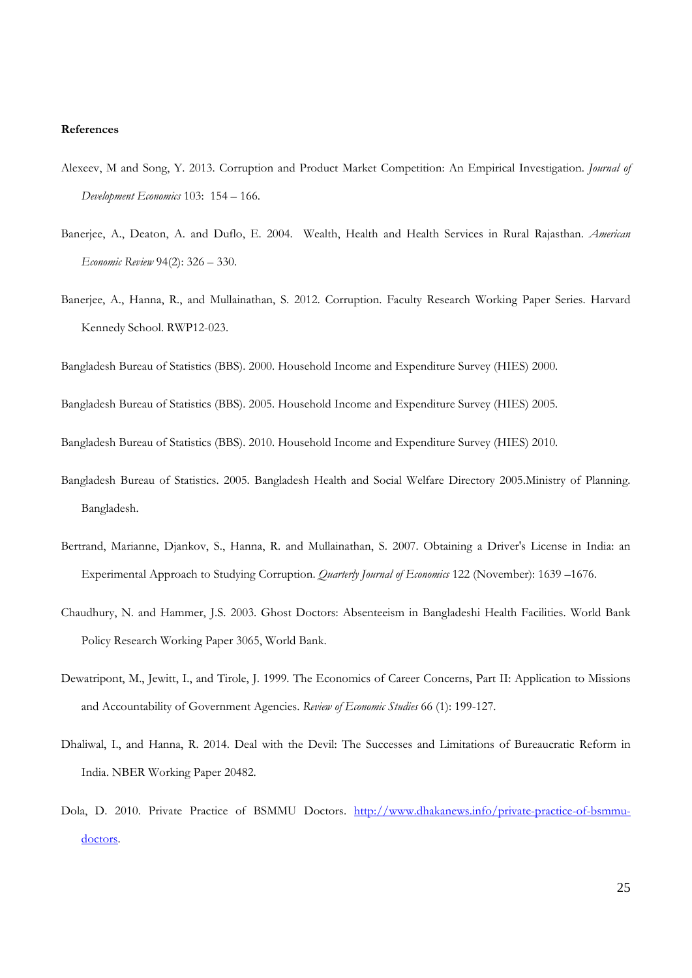#### **References**

- Alexeev, M and Song, Y. 2013. Corruption and Product Market Competition: An Empirical Investigation. *Journal of Development Economics* 103: 154 – 166.
- Banerjee, A., Deaton, A. and Duflo, E. 2004. Wealth, Health and Health Services in Rural Rajasthan. *American Economic Review* 94(2): 326 – 330.
- Banerjee, A., Hanna, R., and Mullainathan, S. 2012. Corruption. Faculty Research Working Paper Series. Harvard Kennedy School. RWP12-023.

Bangladesh Bureau of Statistics (BBS). 2000. Household Income and Expenditure Survey (HIES) 2000.

Bangladesh Bureau of Statistics (BBS). 2005. Household Income and Expenditure Survey (HIES) 2005.

Bangladesh Bureau of Statistics (BBS). 2010. Household Income and Expenditure Survey (HIES) 2010.

- Bangladesh Bureau of Statistics. 2005. Bangladesh Health and Social Welfare Directory 2005.Ministry of Planning. Bangladesh.
- Bertrand, Marianne, Djankov, S., Hanna, R. and Mullainathan, S. 2007. Obtaining a Driver's License in India: an Experimental Approach to Studying Corruption. *Quarterly Journal of Economics* 122 (November): 1639 –1676.
- Chaudhury, N. and Hammer, J.S. 2003. Ghost Doctors: Absenteeism in Bangladeshi Health Facilities. World Bank Policy Research Working Paper 3065, World Bank.
- Dewatripont, M., Jewitt, I., and Tirole, J. 1999. The Economics of Career Concerns, Part II: Application to Missions and Accountability of Government Agencies. *Review of Economic Studies* 66 (1): 199-127.
- Dhaliwal, I., and Hanna, R. 2014. Deal with the Devil: The Successes and Limitations of Bureaucratic Reform in India. NBER Working Paper 20482.
- Dola, D. 2010. Private Practice of BSMMU Doctors. http://www.dhakanews.info/private-practice-of-bsmmudoctors.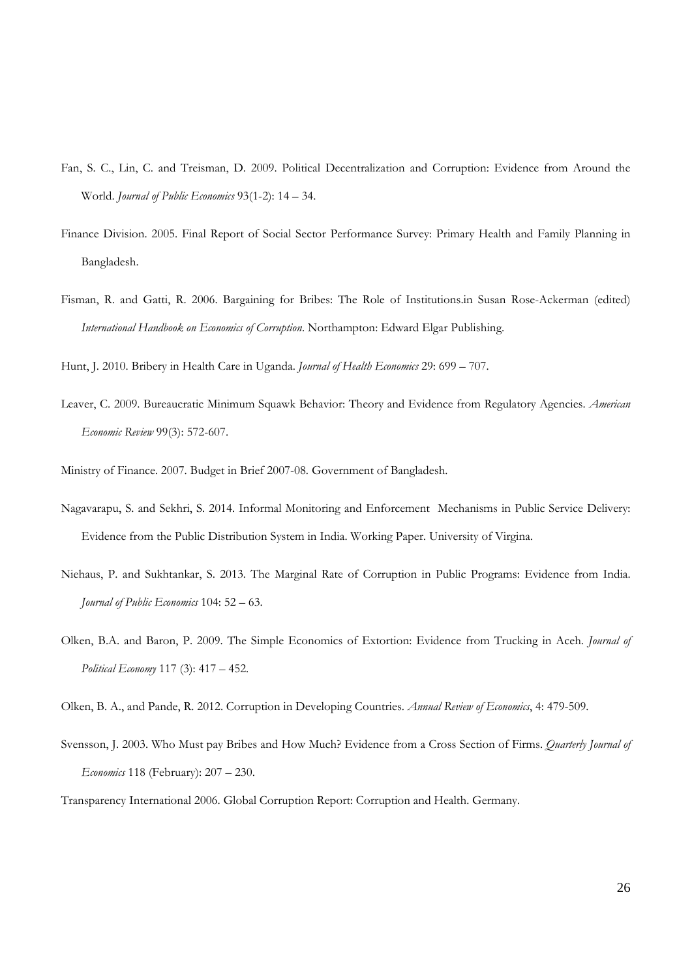- Fan, S. C., Lin, C. and Treisman, D. 2009. Political Decentralization and Corruption: Evidence from Around the World. *Journal of Public Economics* 93(1-2): 14 – 34.
- Finance Division. 2005. Final Report of Social Sector Performance Survey: Primary Health and Family Planning in Bangladesh.
- Fisman, R. and Gatti, R. 2006. Bargaining for Bribes: The Role of Institutions.in Susan Rose-Ackerman (edited) *International Handbook on Economics of Corruption*. Northampton: Edward Elgar Publishing.

Hunt, J. 2010. Bribery in Health Care in Uganda. *Journal of Health Economics* 29: 699 – 707.

Leaver, C. 2009. Bureaucratic Minimum Squawk Behavior: Theory and Evidence from Regulatory Agencies. *American Economic Review* 99(3): 572-607.

Ministry of Finance. 2007. Budget in Brief 2007-08. Government of Bangladesh.

- Nagavarapu, S. and Sekhri, S. 2014. Informal Monitoring and Enforcement Mechanisms in Public Service Delivery: Evidence from the Public Distribution System in India. Working Paper. University of Virgina.
- Niehaus, P. and Sukhtankar, S. 2013. The Marginal Rate of Corruption in Public Programs: Evidence from India. *Journal of Public Economics* 104: 52 – 63.
- Olken, B.A. and Baron, P. 2009. The Simple Economics of Extortion: Evidence from Trucking in Aceh. *Journal of Political Economy* 117 (3): 417 – 452.

Olken, B. A., and Pande, R. 2012. Corruption in Developing Countries. *Annual Review of Economics*, 4: 479-509.

Svensson, J. 2003. Who Must pay Bribes and How Much? Evidence from a Cross Section of Firms. *Quarterly Journal of Economics* 118 (February): 207 – 230.

Transparency International 2006. Global Corruption Report: Corruption and Health. Germany.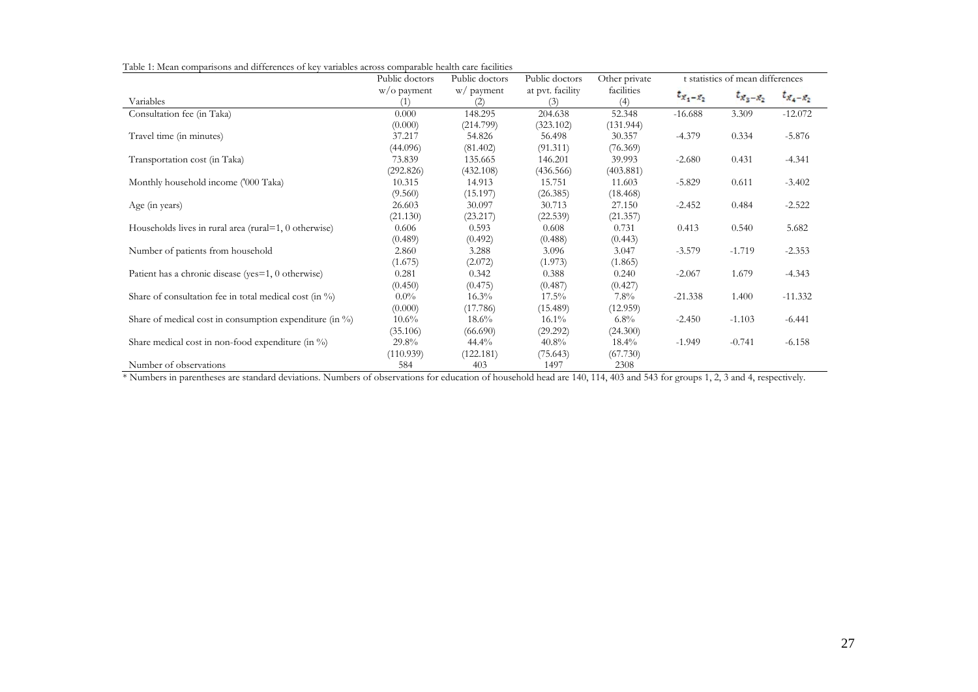Table 1: Mean comparisons and differences of key variables across comparable health care facilities

| l able 1. Mean companisons and differences of Key valiables across comparable health care facilities | Public doctors | Public doctors<br>Public doctors |                  | Other private | t statistics of mean differences |               |               |  |
|------------------------------------------------------------------------------------------------------|----------------|----------------------------------|------------------|---------------|----------------------------------|---------------|---------------|--|
|                                                                                                      | w/o payment    | w/ payment                       | at pvt. facility | facilities    |                                  |               |               |  |
| Variables                                                                                            | (1)            | (2)                              | (3)              | (4)           | $t_{x_1-x_2}$                    | $t_{x_3-x_2}$ | $t_{x_4-x_2}$ |  |
| Consultation fee (in Taka)                                                                           | 0.000          | 148.295                          | 204.638          | 52.348        | $-16.688$                        | 3.309         | $-12.072$     |  |
|                                                                                                      | (0.000)        | (214.799)                        | (323.102)        | (131.944)     |                                  |               |               |  |
| Travel time (in minutes)                                                                             | 37.217         | 54.826                           | 56.498           | 30.357        | $-4.379$                         | 0.334         | $-5.876$      |  |
|                                                                                                      | (44.096)       | (81.402)                         | (91.311)         | (76.369)      |                                  |               |               |  |
| Transportation cost (in Taka)                                                                        | 73.839         | 135.665                          | 146.201          | 39.993        | $-2.680$                         | 0.431         | $-4.341$      |  |
|                                                                                                      | (292.826)      | (432.108)                        | (436.566)        | (403.881)     |                                  |               |               |  |
| Monthly household income ('000 Taka)                                                                 | 10.315         | 14.913                           | 15.751           | 11.603        | $-5.829$                         | 0.611         | $-3.402$      |  |
|                                                                                                      | (9.560)        | (15.197)                         | (26.385)         | (18.468)      |                                  |               |               |  |
| Age (in years)                                                                                       | 26.603         | 30.097                           | 30.713           | 27.150        | $-2.452$                         | 0.484         | $-2.522$      |  |
|                                                                                                      | (21.130)       | (23.217)                         | (22.539)         | (21.357)      |                                  |               |               |  |
| Households lives in rural area (rural=1, $0$ otherwise)                                              | 0.606          | 0.593                            | 0.608            | 0.731         | 0.413                            | 0.540         | 5.682         |  |
|                                                                                                      | (0.489)        | (0.492)                          | (0.488)          | (0.443)       |                                  |               |               |  |
| Number of patients from household                                                                    | 2.860          | 3.288                            | 3.096            | 3.047         | $-3.579$                         | $-1.719$      | $-2.353$      |  |
|                                                                                                      | (1.675)        | (2.072)                          | (1.973)          | (1.865)       |                                  |               |               |  |
| Patient has a chronic disease (yes=1, 0 otherwise)                                                   | 0.281          | 0.342                            | 0.388            | 0.240         | $-2.067$                         | 1.679         | $-4.343$      |  |
|                                                                                                      | (0.450)        | (0.475)                          | (0.487)          | (0.427)       |                                  |               |               |  |
| Share of consultation fee in total medical cost (in $\%$ )                                           | $0.0\%$        | $16.3\%$                         | $17.5\%$         | $7.8\%$       | $-21.338$                        | 1.400         | $-11.332$     |  |
|                                                                                                      | (0.000)        | (17.786)                         | (15.489)         | (12.959)      |                                  |               |               |  |
| Share of medical cost in consumption expenditure (in %)                                              | $10.6\%$       | $18.6\%$                         | $16.1\%$         | $6.8\%$       | $-2.450$                         | $-1.103$      | $-6.441$      |  |
|                                                                                                      | (35.106)       | (66.690)                         | (29.292)         | (24.300)      |                                  |               |               |  |
| Share medical cost in non-food expenditure (in $\%$ )                                                | 29.8%          | 44.4%                            | 40.8%            | $18.4\%$      | $-1.949$                         | $-0.741$      | $-6.158$      |  |
|                                                                                                      | (110.939)      | (122.181)                        | (75.643)         | (67.730)      |                                  |               |               |  |
| Number of observations<br>.                                                                          | 584            | 403                              | 1497             | 2308          |                                  |               |               |  |

\* Numbers in parentheses are standard deviations. Numbers of observations for education of household head are 140, 114, 403 and 543 for groups 1, 2, 3 and 4, respectively.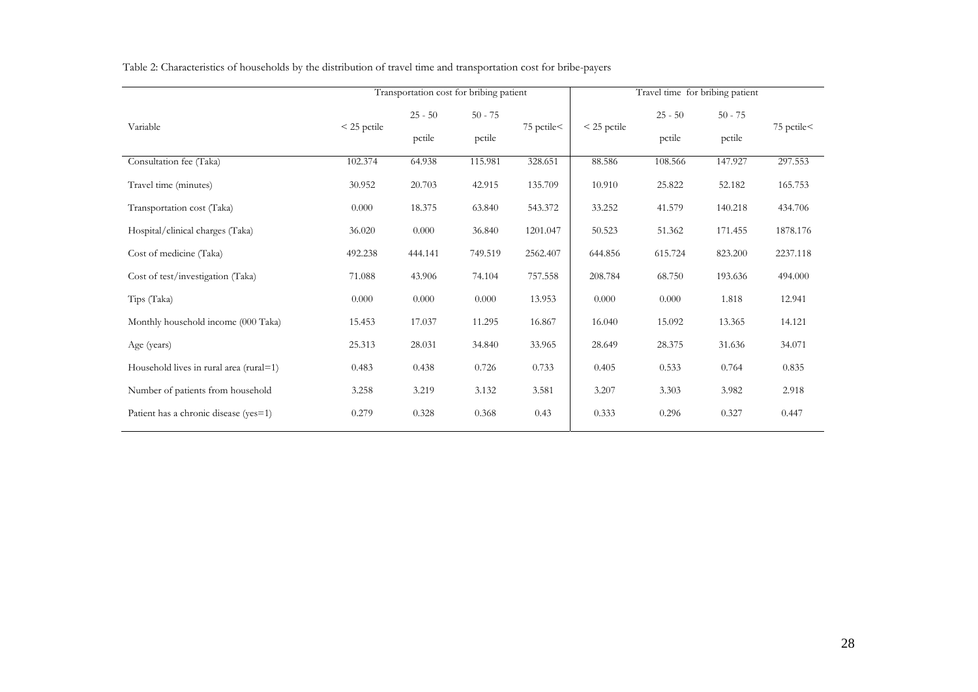|                                         |               | Transportation cost for bribing patient |           |            |               | Travel time for bribing patient |           |             |  |  |
|-----------------------------------------|---------------|-----------------------------------------|-----------|------------|---------------|---------------------------------|-----------|-------------|--|--|
| Variable                                |               | $25 - 50$                               | $50 - 75$ |            | $<$ 25 pctile | $25 - 50$                       | $50 - 75$ | 75 pctile < |  |  |
|                                         | $<$ 25 pctile | pctile                                  | pctile    | 75 pctile< |               | pctile                          | pctile    |             |  |  |
| Consultation fee (Taka)                 | 102.374       | 64.938                                  | 115.981   | 328.651    | 88.586        | 108.566                         | 147.927   | 297.553     |  |  |
| Travel time (minutes)                   | 30.952        | 20.703                                  | 42.915    | 135.709    | 10.910        | 25.822                          | 52.182    | 165.753     |  |  |
| Transportation cost (Taka)              | 0.000         | 18.375                                  | 63.840    | 543.372    | 33.252        | 41.579                          | 140.218   | 434.706     |  |  |
| Hospital/clinical charges (Taka)        | 36.020        | 0.000                                   | 36.840    | 1201.047   | 50.523        | 51.362                          | 171.455   | 1878.176    |  |  |
| Cost of medicine (Taka)                 | 492.238       | 444.141                                 | 749.519   | 2562.407   | 644.856       | 615.724                         | 823.200   | 2237.118    |  |  |
| Cost of test/investigation (Taka)       | 71.088        | 43.906                                  | 74.104    | 757.558    | 208.784       | 68.750                          | 193.636   | 494.000     |  |  |
| Tips (Taka)                             | 0.000         | 0.000                                   | 0.000     | 13.953     | 0.000         | 0.000                           | 1.818     | 12.941      |  |  |
| Monthly household income (000 Taka)     | 15.453        | 17.037                                  | 11.295    | 16.867     | 16.040        | 15.092                          | 13.365    | 14.121      |  |  |
| Age (years)                             | 25.313        | 28.031                                  | 34.840    | 33.965     | 28.649        | 28.375                          | 31.636    | 34.071      |  |  |
| Household lives in rural area (rural=1) | 0.483         | 0.438                                   | 0.726     | 0.733      | 0.405         | 0.533                           | 0.764     | 0.835       |  |  |
| Number of patients from household       | 3.258         | 3.219                                   | 3.132     | 3.581      | 3.207         | 3.303                           | 3.982     | 2.918       |  |  |
| Patient has a chronic disease (yes=1)   | 0.279         | 0.328                                   | 0.368     | 0.43       | 0.333         | 0.296                           | 0.327     | 0.447       |  |  |

Table 2: Characteristics of households by the distribution of travel time and transportation cost for bribe-payers